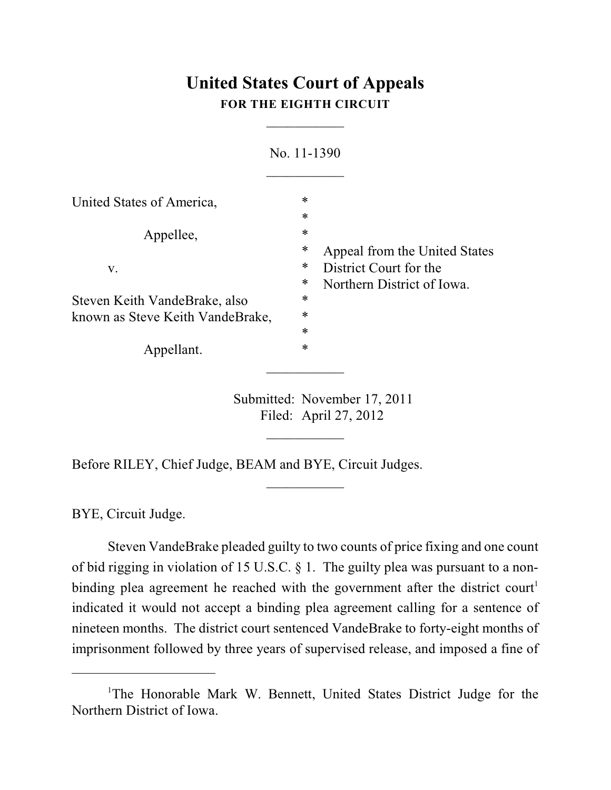# **United States Court of Appeals FOR THE EIGHTH CIRCUIT**

 $\overline{\phantom{a}}$ 

|                                  | No. 11-1390                                    |                               |
|----------------------------------|------------------------------------------------|-------------------------------|
| United States of America,        | $\ast$                                         |                               |
|                                  | $\ast$                                         |                               |
| Appellee,                        | $\ast$                                         |                               |
|                                  | ∗                                              | Appeal from the United States |
| V.                               | $\ast$                                         | District Court for the        |
|                                  | ∗                                              | Northern District of Iowa.    |
| Steven Keith VandeBrake, also    | ∗                                              |                               |
| known as Steve Keith VandeBrake, | *                                              |                               |
|                                  | $\ast$                                         |                               |
| Appellant.                       | $\ast$                                         |                               |
|                                  |                                                |                               |
|                                  | $\mathbf{1}$ and $\mathbf{1}$ and $\mathbf{1}$ |                               |

Submitted: November 17, 2011 Filed: April 27, 2012

 $\overline{\phantom{a}}$ 

 $\frac{1}{2}$ 

Before RILEY, Chief Judge, BEAM and BYE, Circuit Judges.

BYE, Circuit Judge.

Steven VandeBrake pleaded guilty to two counts of price fixing and one count of bid rigging in violation of 15 U.S.C. § 1. The guilty plea was pursuant to a nonbinding plea agreement he reached with the government after the district court<sup>1</sup> indicated it would not accept a binding plea agreement calling for a sentence of nineteen months. The district court sentenced VandeBrake to forty-eight months of imprisonment followed by three years of supervised release, and imposed a fine of

<sup>&</sup>lt;sup>1</sup>The Honorable Mark W. Bennett, United States District Judge for the Northern District of Iowa.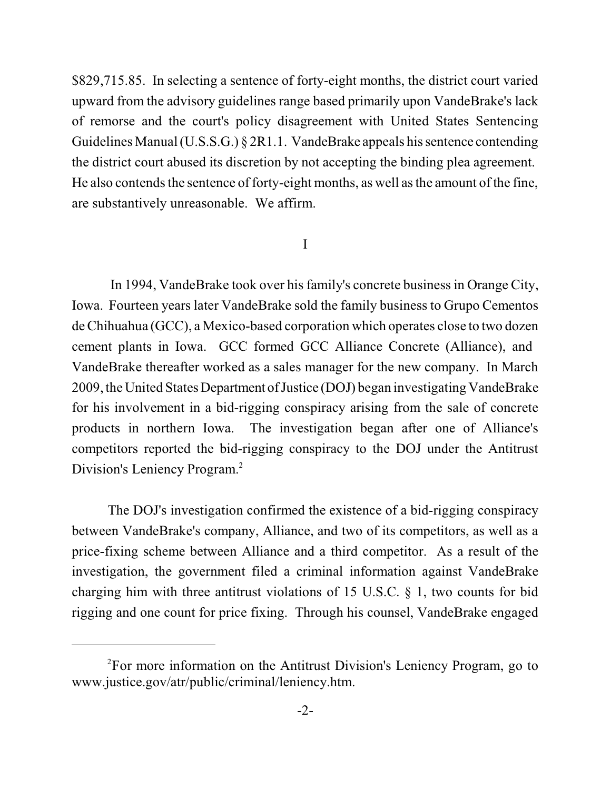\$829,715.85. In selecting a sentence of forty-eight months, the district court varied upward from the advisory guidelines range based primarily upon VandeBrake's lack of remorse and the court's policy disagreement with United States Sentencing Guidelines Manual (U.S.S.G.) § 2R1.1. VandeBrake appeals his sentence contending the district court abused its discretion by not accepting the binding plea agreement. He also contends the sentence of forty-eight months, as well as the amount of the fine, are substantively unreasonable. We affirm.

## I

In 1994, VandeBrake took over his family's concrete businessin Orange City, Iowa. Fourteen years later VandeBrake sold the family business to Grupo Cementos deChihuahua (GCC), a Mexico-based corporation which operates close to two dozen cement plants in Iowa. GCC formed GCC Alliance Concrete (Alliance), and VandeBrake thereafter worked as a sales manager for the new company. In March 2009, the United States Department ofJustice (DOJ) began investigating VandeBrake for his involvement in a bid-rigging conspiracy arising from the sale of concrete products in northern Iowa. The investigation began after one of Alliance's competitors reported the bid-rigging conspiracy to the DOJ under the Antitrust Division's Leniency Program. 2

The DOJ's investigation confirmed the existence of a bid-rigging conspiracy between VandeBrake's company, Alliance, and two of its competitors, as well as a price-fixing scheme between Alliance and a third competitor. As a result of the investigation, the government filed a criminal information against VandeBrake charging him with three antitrust violations of 15 U.S.C. § 1, two counts for bid rigging and one count for price fixing. Through his counsel, VandeBrake engaged

 $P<sup>2</sup>$  For more information on the Antitrust Division's Leniency Program, go to www.justice.gov/atr/public/criminal/leniency.htm.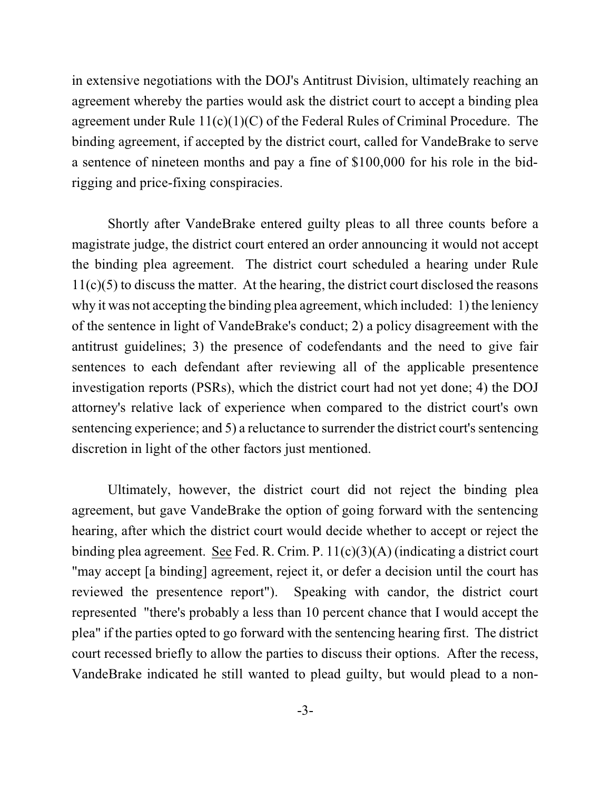in extensive negotiations with the DOJ's Antitrust Division, ultimately reaching an agreement whereby the parties would ask the district court to accept a binding plea agreement under Rule  $11(c)(1)(C)$  of the Federal Rules of Criminal Procedure. The binding agreement, if accepted by the district court, called for VandeBrake to serve a sentence of nineteen months and pay a fine of \$100,000 for his role in the bidrigging and price-fixing conspiracies.

Shortly after VandeBrake entered guilty pleas to all three counts before a magistrate judge, the district court entered an order announcing it would not accept the binding plea agreement. The district court scheduled a hearing under Rule  $11(c)(5)$  to discuss the matter. At the hearing, the district court disclosed the reasons why it was not accepting the binding plea agreement, which included: 1) the leniency of the sentence in light of VandeBrake's conduct; 2) a policy disagreement with the antitrust guidelines; 3) the presence of codefendants and the need to give fair sentences to each defendant after reviewing all of the applicable presentence investigation reports (PSRs), which the district court had not yet done; 4) the DOJ attorney's relative lack of experience when compared to the district court's own sentencing experience; and 5) a reluctance to surrender the district court's sentencing discretion in light of the other factors just mentioned.

Ultimately, however, the district court did not reject the binding plea agreement, but gave VandeBrake the option of going forward with the sentencing hearing, after which the district court would decide whether to accept or reject the binding plea agreement. See Fed. R. Crim. P. 11(c)(3)(A) (indicating a district court "may accept [a binding] agreement, reject it, or defer a decision until the court has reviewed the presentence report"). Speaking with candor, the district court represented "there's probably a less than 10 percent chance that I would accept the plea" if the parties opted to go forward with the sentencing hearing first. The district court recessed briefly to allow the parties to discuss their options. After the recess, VandeBrake indicated he still wanted to plead guilty, but would plead to a non-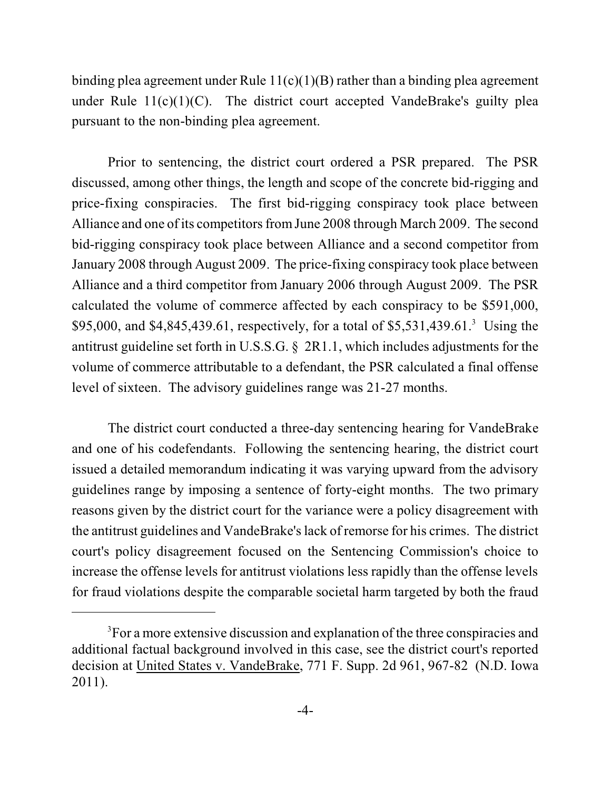binding plea agreement under Rule  $11(c)(1)(B)$  rather than a binding plea agreement under Rule  $11(c)(1)(C)$ . The district court accepted VandeBrake's guilty plea pursuant to the non-binding plea agreement.

Prior to sentencing, the district court ordered a PSR prepared. The PSR discussed, among other things, the length and scope of the concrete bid-rigging and price-fixing conspiracies. The first bid-rigging conspiracy took place between Alliance and one of its competitors from June 2008 through March 2009. The second bid-rigging conspiracy took place between Alliance and a second competitor from January 2008 through August 2009. The price-fixing conspiracy took place between Alliance and a third competitor from January 2006 through August 2009. The PSR calculated the volume of commerce affected by each conspiracy to be \$591,000, \$95,000, and \$4,845,439.61, respectively, for a total of \$5,531,439.61.<sup>3</sup> Using the antitrust guideline set forth in U.S.S.G. § 2R1.1, which includes adjustments for the volume of commerce attributable to a defendant, the PSR calculated a final offense level of sixteen. The advisory guidelines range was 21-27 months.

The district court conducted a three-day sentencing hearing for VandeBrake and one of his codefendants. Following the sentencing hearing, the district court issued a detailed memorandum indicating it was varying upward from the advisory guidelines range by imposing a sentence of forty-eight months. The two primary reasons given by the district court for the variance were a policy disagreement with the antitrust guidelines and VandeBrake'slack of remorse for his crimes. The district court's policy disagreement focused on the Sentencing Commission's choice to increase the offense levels for antitrust violations less rapidly than the offense levels for fraud violations despite the comparable societal harm targeted by both the fraud

<sup>&</sup>lt;sup>3</sup>For a more extensive discussion and explanation of the three conspiracies and additional factual background involved in this case, see the district court's reported decision at United States v. VandeBrake, 771 F. Supp. 2d 961, 967-82 (N.D. Iowa 2011).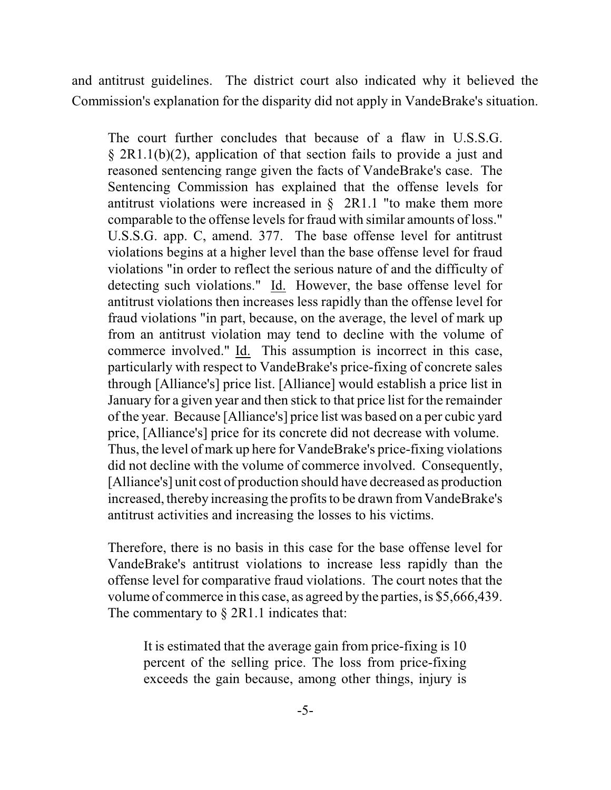and antitrust guidelines. The district court also indicated why it believed the Commission's explanation for the disparity did not apply in VandeBrake's situation.

The court further concludes that because of a flaw in U.S.S.G. § 2R1.1(b)(2), application of that section fails to provide a just and reasoned sentencing range given the facts of VandeBrake's case. The Sentencing Commission has explained that the offense levels for antitrust violations were increased in  $\S$  2R1.1 "to make them more comparable to the offense levels for fraud with similar amounts of loss." U.S.S.G. app. C, amend. 377. The base offense level for antitrust violations begins at a higher level than the base offense level for fraud violations "in order to reflect the serious nature of and the difficulty of detecting such violations." Id. However, the base offense level for antitrust violations then increases less rapidly than the offense level for fraud violations "in part, because, on the average, the level of mark up from an antitrust violation may tend to decline with the volume of commerce involved." Id. This assumption is incorrect in this case, particularly with respect to VandeBrake's price-fixing of concrete sales through [Alliance's] price list. [Alliance] would establish a price list in January for a given year and then stick to that price list for the remainder of the year. Because [Alliance's] price list was based on a per cubic yard price, [Alliance's] price for its concrete did not decrease with volume. Thus, the level of mark up here for VandeBrake's price-fixing violations did not decline with the volume of commerce involved. Consequently, [Alliance's] unit cost of production should have decreased as production increased, thereby increasing the profits to be drawn fromVandeBrake's antitrust activities and increasing the losses to his victims.

Therefore, there is no basis in this case for the base offense level for VandeBrake's antitrust violations to increase less rapidly than the offense level for comparative fraud violations. The court notes that the volume of commerce in this case, as agreed by the parties, is \$5,666,439. The commentary to  $\S 2R1.1$  indicates that:

It is estimated that the average gain from price-fixing is 10 percent of the selling price. The loss from price-fixing exceeds the gain because, among other things, injury is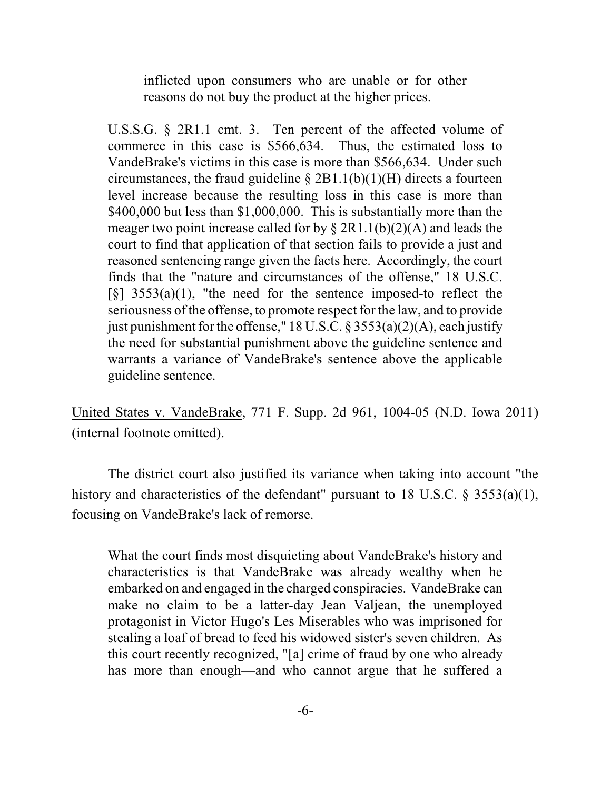inflicted upon consumers who are unable or for other reasons do not buy the product at the higher prices.

U.S.S.G. § 2R1.1 cmt. 3. Ten percent of the affected volume of commerce in this case is \$566,634. Thus, the estimated loss to VandeBrake's victims in this case is more than \$566,634. Under such circumstances, the fraud guideline  $\S 2B1.1(b)(1)(H)$  directs a fourteen level increase because the resulting loss in this case is more than \$400,000 but less than \$1,000,000. This is substantially more than the meager two point increase called for by  $\S 2R1.1(b)(2)(A)$  and leads the court to find that application of that section fails to provide a just and reasoned sentencing range given the facts here. Accordingly, the court finds that the "nature and circumstances of the offense," 18 U.S.C.  $\lceil \xi \rceil$  3553(a)(1), "the need for the sentence imposed-to reflect the seriousness of the offense, to promote respect for the law, and to provide just punishment for the offense," 18 U.S.C. § 3553(a)(2)(A), each justify the need for substantial punishment above the guideline sentence and warrants a variance of VandeBrake's sentence above the applicable guideline sentence.

United States v. VandeBrake, 771 F. Supp. 2d 961, 1004-05 (N.D. Iowa 2011) (internal footnote omitted).

The district court also justified its variance when taking into account "the history and characteristics of the defendant" pursuant to 18 U.S.C. § 3553(a)(1), focusing on VandeBrake's lack of remorse.

What the court finds most disquieting about VandeBrake's history and characteristics is that VandeBrake was already wealthy when he embarked on and engaged in the charged conspiracies. VandeBrake can make no claim to be a latter-day Jean Valjean, the unemployed protagonist in Victor Hugo's Les Miserables who was imprisoned for stealing a loaf of bread to feed his widowed sister's seven children. As this court recently recognized, "[a] crime of fraud by one who already has more than enough—and who cannot argue that he suffered a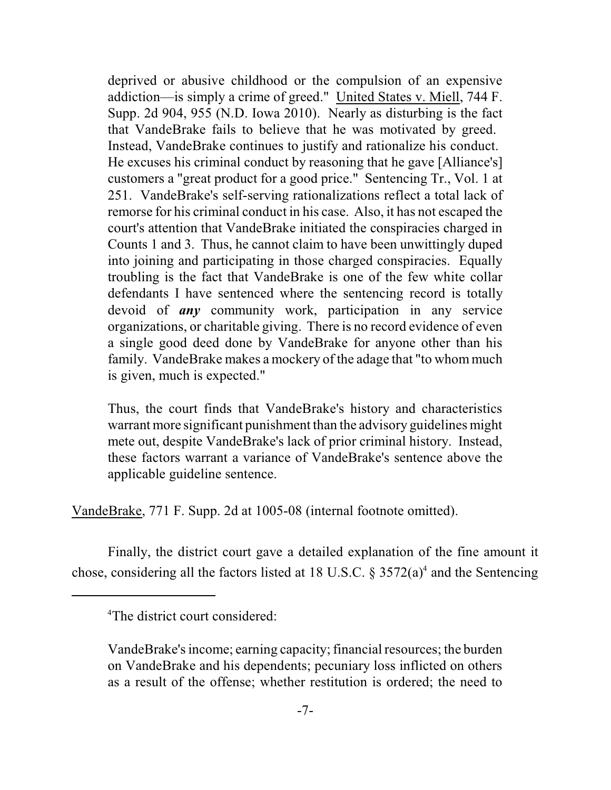deprived or abusive childhood or the compulsion of an expensive addiction—is simply a crime of greed." United States v. Miell, 744 F. Supp. 2d 904, 955 (N.D. Iowa 2010). Nearly as disturbing is the fact that VandeBrake fails to believe that he was motivated by greed. Instead, VandeBrake continues to justify and rationalize his conduct. He excuses his criminal conduct by reasoning that he gave [Alliance's] customers a "great product for a good price." Sentencing Tr., Vol. 1 at 251. VandeBrake's self-serving rationalizations reflect a total lack of remorse for his criminal conduct in his case. Also, it has not escaped the court's attention that VandeBrake initiated the conspiracies charged in Counts 1 and 3. Thus, he cannot claim to have been unwittingly duped into joining and participating in those charged conspiracies. Equally troubling is the fact that VandeBrake is one of the few white collar defendants I have sentenced where the sentencing record is totally devoid of *any* community work, participation in any service organizations, or charitable giving. There is no record evidence of even a single good deed done by VandeBrake for anyone other than his family. VandeBrake makes a mockery of the adage that "to whom much is given, much is expected."

Thus, the court finds that VandeBrake's history and characteristics warrant more significant punishment than the advisory guidelines might mete out, despite VandeBrake's lack of prior criminal history. Instead, these factors warrant a variance of VandeBrake's sentence above the applicable guideline sentence.

VandeBrake, 771 F. Supp. 2d at 1005-08 (internal footnote omitted).

Finally, the district court gave a detailed explanation of the fine amount it chose, considering all the factors listed at 18 U.S.C.  $\S 3572(a)^4$  and the Sentencing

<sup>&</sup>lt;sup>4</sup>The district court considered:

VandeBrake's income; earning capacity; financial resources; the burden on VandeBrake and his dependents; pecuniary loss inflicted on others as a result of the offense; whether restitution is ordered; the need to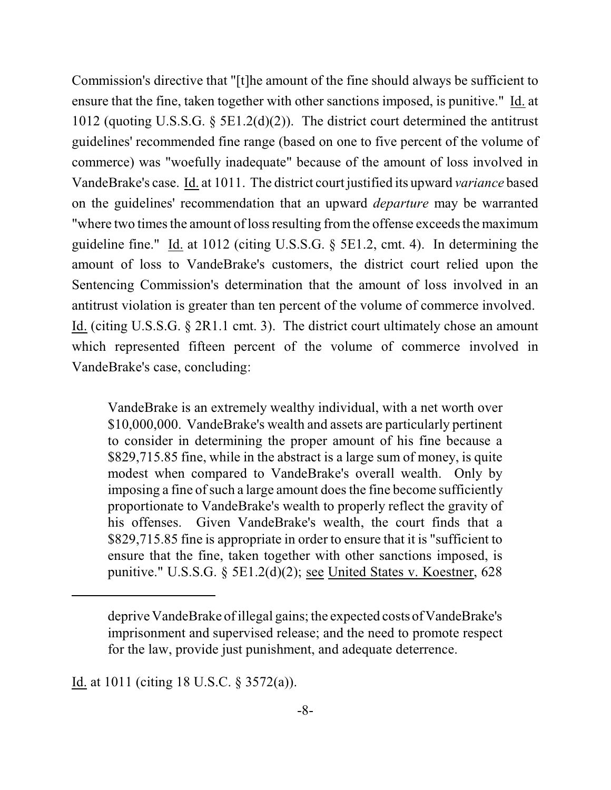Commission's directive that "[t]he amount of the fine should always be sufficient to ensure that the fine, taken together with other sanctions imposed, is punitive." Id. at 1012 (quoting U.S.S.G. § 5E1.2(d)(2)). The district court determined the antitrust guidelines' recommended fine range (based on one to five percent of the volume of commerce) was "woefully inadequate" because of the amount of loss involved in VandeBrake's case. Id. at 1011. The district court justified its upward *variance* based on the guidelines' recommendation that an upward *departure* may be warranted "where two times the amount of loss resulting from the offense exceeds the maximum guideline fine." Id. at 1012 (citing U.S.S.G. § 5E1.2, cmt. 4). In determining the amount of loss to VandeBrake's customers, the district court relied upon the Sentencing Commission's determination that the amount of loss involved in an antitrust violation is greater than ten percent of the volume of commerce involved. Id. (citing U.S.S.G. § 2R1.1 cmt. 3). The district court ultimately chose an amount which represented fifteen percent of the volume of commerce involved in VandeBrake's case, concluding:

VandeBrake is an extremely wealthy individual, with a net worth over \$10,000,000. VandeBrake's wealth and assets are particularly pertinent to consider in determining the proper amount of his fine because a \$829,715.85 fine, while in the abstract is a large sum of money, is quite modest when compared to VandeBrake's overall wealth. Only by imposing a fine of such a large amount does the fine become sufficiently proportionate to VandeBrake's wealth to properly reflect the gravity of his offenses. Given VandeBrake's wealth, the court finds that a \$829,715.85 fine is appropriate in order to ensure that it is "sufficient to ensure that the fine, taken together with other sanctions imposed, is punitive." U.S.S.G. § 5E1.2(d)(2); see United States v. Koestner, 628

Id. at 1011 (citing 18 U.S.C. § 3572(a)).

deprive VandeBrake of illegal gains; the expected costs of VandeBrake's imprisonment and supervised release; and the need to promote respect for the law, provide just punishment, and adequate deterrence.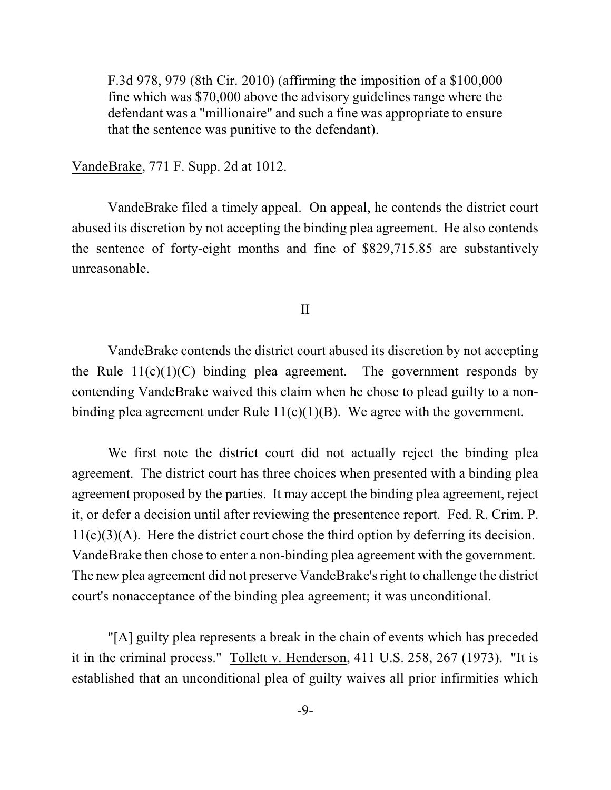F.3d 978, 979 (8th Cir. 2010) (affirming the imposition of a \$100,000 fine which was \$70,000 above the advisory guidelines range where the defendant was a "millionaire" and such a fine was appropriate to ensure that the sentence was punitive to the defendant).

VandeBrake, 771 F. Supp. 2d at 1012.

VandeBrake filed a timely appeal. On appeal, he contends the district court abused its discretion by not accepting the binding plea agreement. He also contends the sentence of forty-eight months and fine of \$829,715.85 are substantively unreasonable.

II

VandeBrake contends the district court abused its discretion by not accepting the Rule  $11(c)(1)(C)$  binding plea agreement. The government responds by contending VandeBrake waived this claim when he chose to plead guilty to a nonbinding plea agreement under Rule 11(c)(1)(B). We agree with the government.

We first note the district court did not actually reject the binding plea agreement. The district court has three choices when presented with a binding plea agreement proposed by the parties. It may accept the binding plea agreement, reject it, or defer a decision until after reviewing the presentence report. Fed. R. Crim. P.  $11(c)(3)(A)$ . Here the district court chose the third option by deferring its decision. VandeBrake then chose to enter a non-binding plea agreement with the government. The new plea agreement did not preserve VandeBrake's right to challenge the district court's nonacceptance of the binding plea agreement; it was unconditional.

"[A] guilty plea represents a break in the chain of events which has preceded it in the criminal process." Tollett v. Henderson, 411 U.S. 258, 267 (1973). "It is established that an unconditional plea of guilty waives all prior infirmities which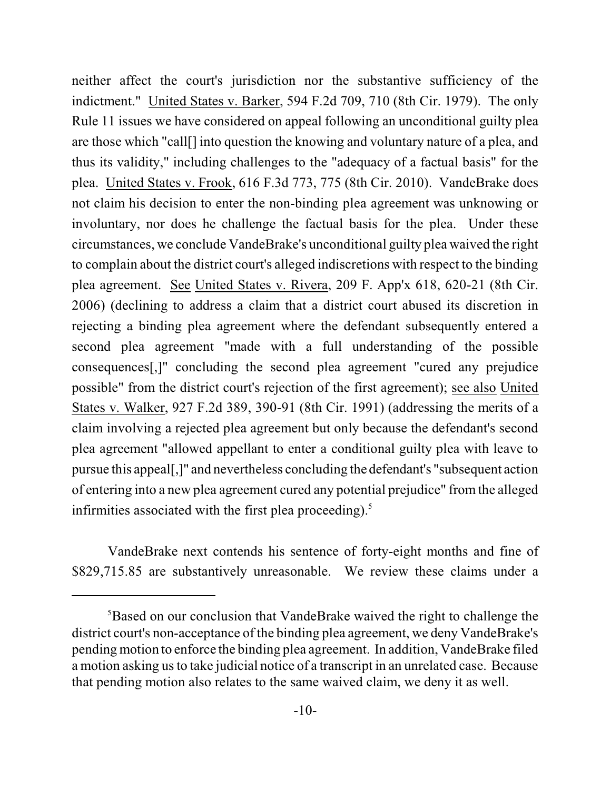neither affect the court's jurisdiction nor the substantive sufficiency of the indictment." United States v. Barker, 594 F.2d 709, 710 (8th Cir. 1979). The only Rule 11 issues we have considered on appeal following an unconditional guilty plea are those which "call[] into question the knowing and voluntary nature of a plea, and thus its validity," including challenges to the "adequacy of a factual basis" for the plea. United States v. Frook, 616 F.3d 773, 775 (8th Cir. 2010). VandeBrake does not claim his decision to enter the non-binding plea agreement was unknowing or involuntary, nor does he challenge the factual basis for the plea. Under these circumstances, we conclude VandeBrake's unconditional guilty plea waived the right to complain about the district court's alleged indiscretions with respect to the binding plea agreement. See United States v. Rivera, 209 F. App'x 618, 620-21 (8th Cir. 2006) (declining to address a claim that a district court abused its discretion in rejecting a binding plea agreement where the defendant subsequently entered a second plea agreement "made with a full understanding of the possible consequences[,]" concluding the second plea agreement "cured any prejudice possible" from the district court's rejection of the first agreement); see also United States v. Walker, 927 F.2d 389, 390-91 (8th Cir. 1991) (addressing the merits of a claim involving a rejected plea agreement but only because the defendant's second plea agreement "allowed appellant to enter a conditional guilty plea with leave to pursue this appeal[,]" and nevertheless concluding the defendant's "subsequent action of entering into a new plea agreement cured any potential prejudice" from the alleged infirmities associated with the first plea proceeding). 5

VandeBrake next contends his sentence of forty-eight months and fine of \$829,715.85 are substantively unreasonable. We review these claims under a

<sup>&</sup>lt;sup>5</sup>Based on our conclusion that VandeBrake waived the right to challenge the district court's non-acceptance of the binding plea agreement, we deny VandeBrake's pending motion to enforce the binding plea agreement. In addition, VandeBrake filed a motion asking us to take judicial notice of a transcript in an unrelated case. Because that pending motion also relates to the same waived claim, we deny it as well.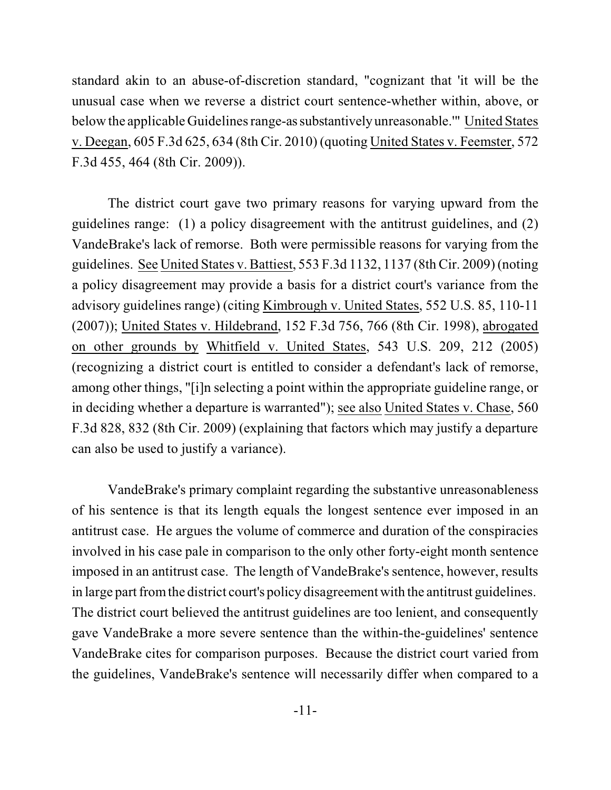standard akin to an abuse-of-discretion standard, "cognizant that 'it will be the unusual case when we reverse a district court sentence-whether within, above, or below the applicable Guidelines range-as substantivelyunreasonable.'" United States v. Deegan, 605 F.3d 625, 634 (8th Cir. 2010) (quoting United States v. Feemster, 572 F.3d 455, 464 (8th Cir. 2009)).

The district court gave two primary reasons for varying upward from the guidelines range: (1) a policy disagreement with the antitrust guidelines, and (2) VandeBrake's lack of remorse. Both were permissible reasons for varying from the guidelines. See United States v. Battiest, 553 F.3d 1132, 1137 (8th Cir. 2009) (noting a policy disagreement may provide a basis for a district court's variance from the advisory guidelines range) (citing Kimbrough v. United States, 552 U.S. 85, 110-11 (2007)); United States v. Hildebrand, 152 F.3d 756, 766 (8th Cir. 1998), abrogated on other grounds by Whitfield v. United States, 543 U.S. 209, 212 (2005) (recognizing a district court is entitled to consider a defendant's lack of remorse, among other things, "[i]n selecting a point within the appropriate guideline range, or in deciding whether a departure is warranted"); see also United States v. Chase, 560 F.3d 828, 832 (8th Cir. 2009) (explaining that factors which may justify a departure can also be used to justify a variance).

VandeBrake's primary complaint regarding the substantive unreasonableness of his sentence is that its length equals the longest sentence ever imposed in an antitrust case. He argues the volume of commerce and duration of the conspiracies involved in his case pale in comparison to the only other forty-eight month sentence imposed in an antitrust case. The length of VandeBrake's sentence, however, results in large part fromthe district court's policy disagreement with the antitrust guidelines. The district court believed the antitrust guidelines are too lenient, and consequently gave VandeBrake a more severe sentence than the within-the-guidelines' sentence VandeBrake cites for comparison purposes. Because the district court varied from the guidelines, VandeBrake's sentence will necessarily differ when compared to a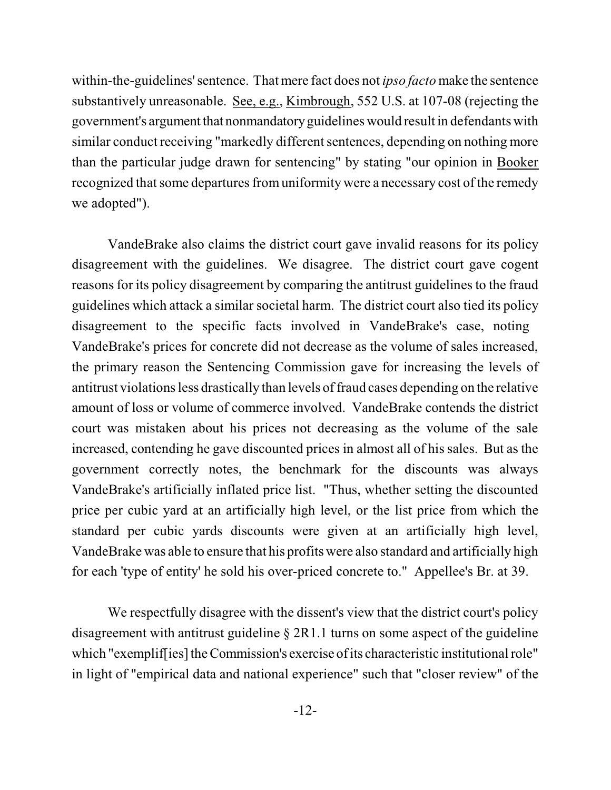within-the-guidelines' sentence. That mere fact does not *ipso facto* make the sentence substantively unreasonable. See, e.g., Kimbrough, 552 U.S. at 107-08 (rejecting the government's argument that nonmandatory guidelines would result in defendants with similar conduct receiving "markedly different sentences, depending on nothing more than the particular judge drawn for sentencing" by stating "our opinion in Booker recognized that some departures from uniformity were a necessary cost of the remedy we adopted").

VandeBrake also claims the district court gave invalid reasons for its policy disagreement with the guidelines. We disagree. The district court gave cogent reasons for its policy disagreement by comparing the antitrust guidelines to the fraud guidelines which attack a similar societal harm. The district court also tied its policy disagreement to the specific facts involved in VandeBrake's case, noting VandeBrake's prices for concrete did not decrease as the volume of sales increased, the primary reason the Sentencing Commission gave for increasing the levels of antitrust violations less drastically than levels of fraud cases depending on the relative amount of loss or volume of commerce involved. VandeBrake contends the district court was mistaken about his prices not decreasing as the volume of the sale increased, contending he gave discounted prices in almost all of his sales. But as the government correctly notes, the benchmark for the discounts was always VandeBrake's artificially inflated price list. "Thus, whether setting the discounted price per cubic yard at an artificially high level, or the list price from which the standard per cubic yards discounts were given at an artificially high level, VandeBrake was able to ensure that his profits were also standard and artificially high for each 'type of entity' he sold his over-priced concrete to." Appellee's Br. at 39.

We respectfully disagree with the dissent's view that the district court's policy disagreement with antitrust guideline § 2R1.1 turns on some aspect of the guideline which "exempliffies] the Commission's exercise of its characteristic institutional role" in light of "empirical data and national experience" such that "closer review" of the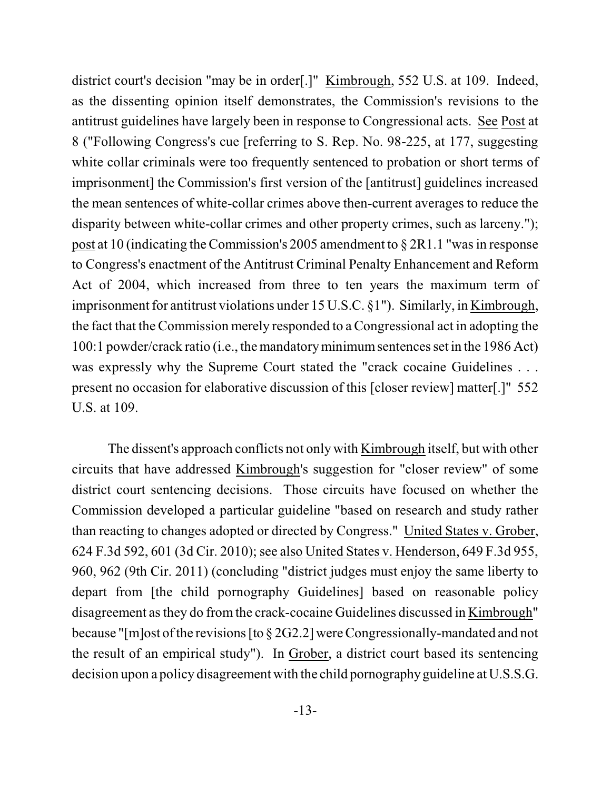district court's decision "may be in order[.]" Kimbrough, 552 U.S. at 109. Indeed, as the dissenting opinion itself demonstrates, the Commission's revisions to the antitrust guidelines have largely been in response to Congressional acts. See Post at 8 ("Following Congress's cue [referring to S. Rep. No. 98-225, at 177, suggesting white collar criminals were too frequently sentenced to probation or short terms of imprisonment] the Commission's first version of the [antitrust] guidelines increased the mean sentences of white-collar crimes above then-current averages to reduce the disparity between white-collar crimes and other property crimes, such as larceny."); post at 10 (indicating the Commission's 2005 amendment to  $\S 2R1.1$  "was in response to Congress's enactment of the Antitrust Criminal Penalty Enhancement and Reform Act of 2004, which increased from three to ten years the maximum term of imprisonment for antitrust violations under 15 U.S.C. §1"). Similarly, in Kimbrough, the fact that the Commission merely responded to a Congressional act in adopting the 100:1 powder/crack ratio (i.e., the mandatoryminimumsentencesset in the 1986 Act) was expressly why the Supreme Court stated the "crack cocaine Guidelines . . . present no occasion for elaborative discussion of this [closer review] matter[.]" 552 U.S. at 109.

The dissent's approach conflicts not only with Kimbrough itself, but with other circuits that have addressed Kimbrough's suggestion for "closer review" of some district court sentencing decisions. Those circuits have focused on whether the Commission developed a particular guideline "based on research and study rather than reacting to changes adopted or directed by Congress." United States v. Grober, 624 F.3d 592, 601 (3d Cir. 2010); see also United States v. Henderson, 649 F.3d 955, 960, 962 (9th Cir. 2011) (concluding "district judges must enjoy the same liberty to depart from [the child pornography Guidelines] based on reasonable policy disagreement asthey do from the crack-cocaine Guidelines discussed in Kimbrough" because "[m]ost of the revisions [to  $\S 2G2.2$ ] were Congressionally-mandated and not the result of an empirical study"). In Grober, a district court based its sentencing decision upon a policy disagreement with the child pornographyguideline at U.S.S.G.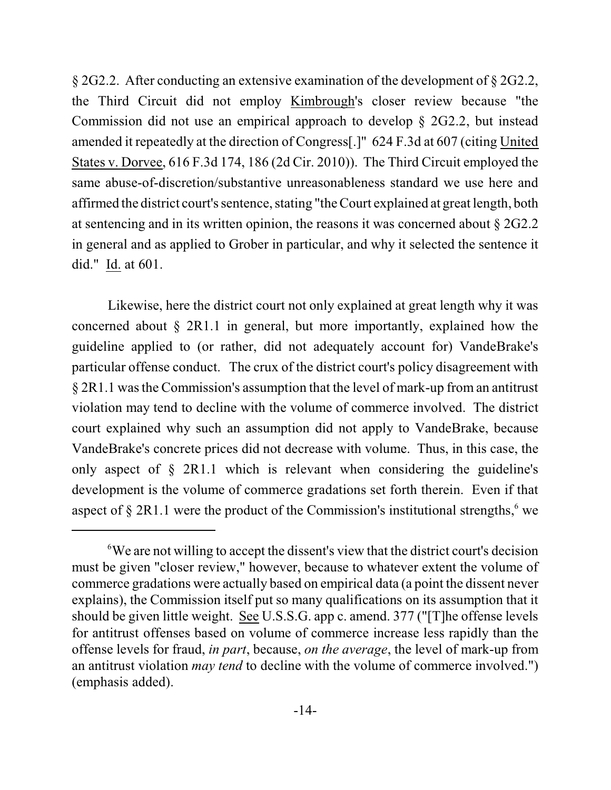§ 2G2.2. After conducting an extensive examination of the development of § 2G2.2, the Third Circuit did not employ Kimbrough's closer review because "the Commission did not use an empirical approach to develop § 2G2.2, but instead amended it repeatedly at the direction of Congress[.]" 624 F.3d at 607 (citing United States v. Dorvee, 616 F.3d 174, 186 (2d Cir. 2010)). The Third Circuit employed the same abuse-of-discretion/substantive unreasonableness standard we use here and affirmed the district court's sentence, stating "the Court explained at great length, both at sentencing and in its written opinion, the reasons it was concerned about § 2G2.2 in general and as applied to Grober in particular, and why it selected the sentence it did." Id. at 601.

Likewise, here the district court not only explained at great length why it was concerned about § 2R1.1 in general, but more importantly, explained how the guideline applied to (or rather, did not adequately account for) VandeBrake's particular offense conduct. The crux of the district court's policy disagreement with § 2R1.1 wasthe Commission's assumption that the level of mark-up from an antitrust violation may tend to decline with the volume of commerce involved. The district court explained why such an assumption did not apply to VandeBrake, because VandeBrake's concrete prices did not decrease with volume. Thus, in this case, the only aspect of § 2R1.1 which is relevant when considering the guideline's development is the volume of commerce gradations set forth therein. Even if that aspect of  $\S 2R1.1$  were the product of the Commission's institutional strengths, we

We are not willing to accept the dissent's view that the district court's decision <sup>6</sup> must be given "closer review," however, because to whatever extent the volume of commerce gradations were actually based on empirical data (a point the dissent never explains), the Commission itself put so many qualifications on its assumption that it should be given little weight. See U.S.S.G. app c. amend. 377 ("[T]he offense levels for antitrust offenses based on volume of commerce increase less rapidly than the offense levels for fraud, *in part*, because, *on the average*, the level of mark-up from an antitrust violation *may tend* to decline with the volume of commerce involved.") (emphasis added).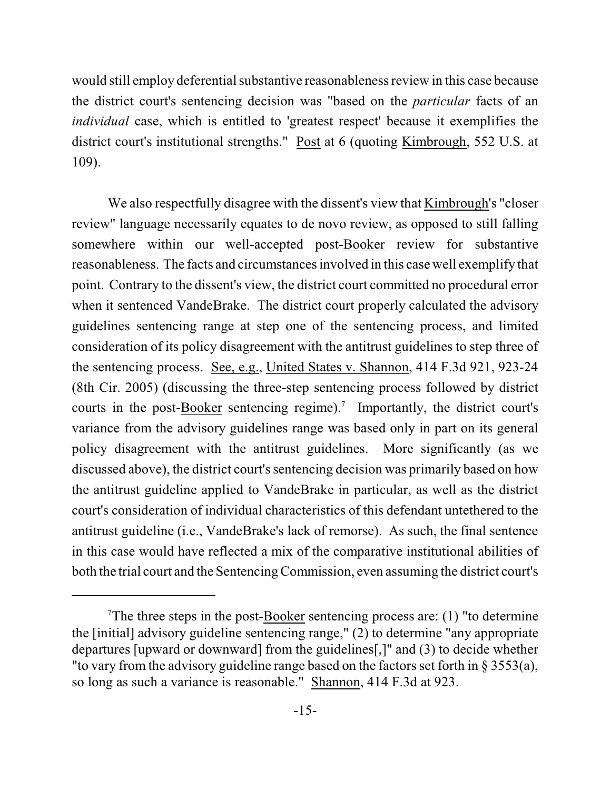would still employ deferential substantive reasonableness review in this case because the district court's sentencing decision was "based on the *particular* facts of an *individual* case, which is entitled to 'greatest respect' because it exemplifies the district court's institutional strengths." Post at 6 (quoting Kimbrough, 552 U.S. at 109).

We also respectfully disagree with the dissent's view that Kimbrough's "closer review" language necessarily equates to de novo review, as opposed to still falling somewhere within our well-accepted post-Booker review for substantive reasonableness. The facts and circumstancesinvolved in this case well exemplify that point. Contrary to the dissent's view, the district court committed no procedural error when it sentenced VandeBrake. The district court properly calculated the advisory guidelines sentencing range at step one of the sentencing process, and limited consideration of its policy disagreement with the antitrust guidelines to step three of the sentencing process. See, e.g., United States v. Shannon, 414 F.3d 921, 923-24 (8th Cir. 2005) (discussing the three-step sentencing process followed by district courts in the post-**Booker** sentencing regime).<sup>7</sup> Importantly, the district court's variance from the advisory guidelines range was based only in part on its general policy disagreement with the antitrust guidelines. More significantly (as we discussed above), the district court's sentencing decision was primarily based on how the antitrust guideline applied to VandeBrake in particular, as well as the district court's consideration of individual characteristics of this defendant untethered to the antitrust guideline (i.e., VandeBrake's lack of remorse). As such, the final sentence in this case would have reflected a mix of the comparative institutional abilities of both the trial court and the Sentencing Commission, even assuming the district court's

<sup>&</sup>lt;sup>7</sup>The three steps in the post- $\frac{Booker}{H}$  sentencing process are: (1) "to determine the [initial] advisory guideline sentencing range," (2) to determine "any appropriate departures [upward or downward] from the guidelines[,]" and (3) to decide whether "to vary from the advisory guideline range based on the factors set forth in § 3553(a), so long as such a variance is reasonable." Shannon, 414 F.3d at 923.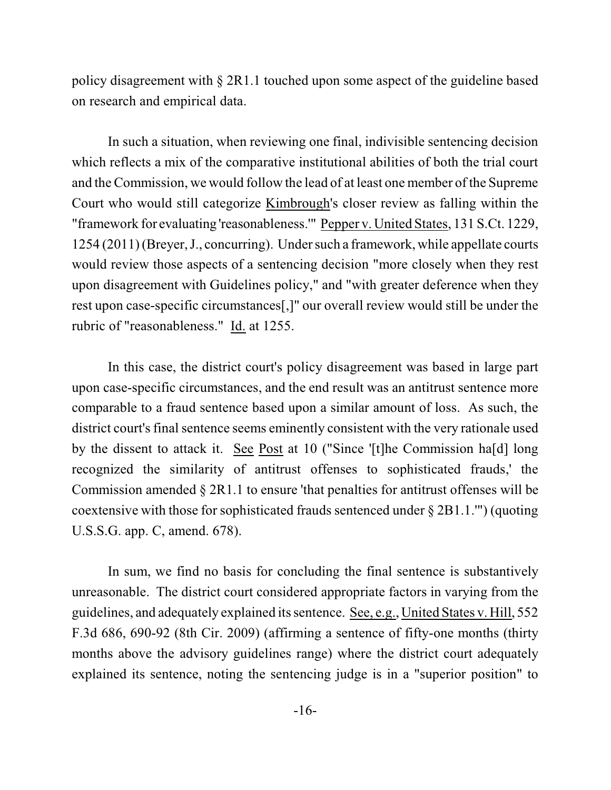policy disagreement with § 2R1.1 touched upon some aspect of the guideline based on research and empirical data.

In such a situation, when reviewing one final, indivisible sentencing decision which reflects a mix of the comparative institutional abilities of both the trial court and the Commission, we would follow the lead of at least one member of the Supreme Court who would still categorize Kimbrough's closer review as falling within the "framework for evaluating 'reasonableness.'" Pepper v. United States, 131 S.Ct. 1229, 1254 (2011)(Breyer, J., concurring). Under such a framework, while appellate courts would review those aspects of a sentencing decision "more closely when they rest upon disagreement with Guidelines policy," and "with greater deference when they rest upon case-specific circumstances[,]" our overall review would still be under the rubric of "reasonableness." Id. at 1255.

In this case, the district court's policy disagreement was based in large part upon case-specific circumstances, and the end result was an antitrust sentence more comparable to a fraud sentence based upon a similar amount of loss. As such, the district court's final sentence seems eminently consistent with the very rationale used by the dissent to attack it. See Post at 10 ("Since '[t]he Commission ha[d] long recognized the similarity of antitrust offenses to sophisticated frauds,' the Commission amended § 2R1.1 to ensure 'that penalties for antitrust offenses will be coextensive with those for sophisticated frauds sentenced under § 2B1.1.'") (quoting U.S.S.G. app. C, amend. 678).

In sum, we find no basis for concluding the final sentence is substantively unreasonable. The district court considered appropriate factors in varying from the guidelines, and adequately explained its sentence. See, e.g., United States v. Hill, 552 F.3d 686, 690-92 (8th Cir. 2009) (affirming a sentence of fifty-one months (thirty months above the advisory guidelines range) where the district court adequately explained its sentence, noting the sentencing judge is in a "superior position" to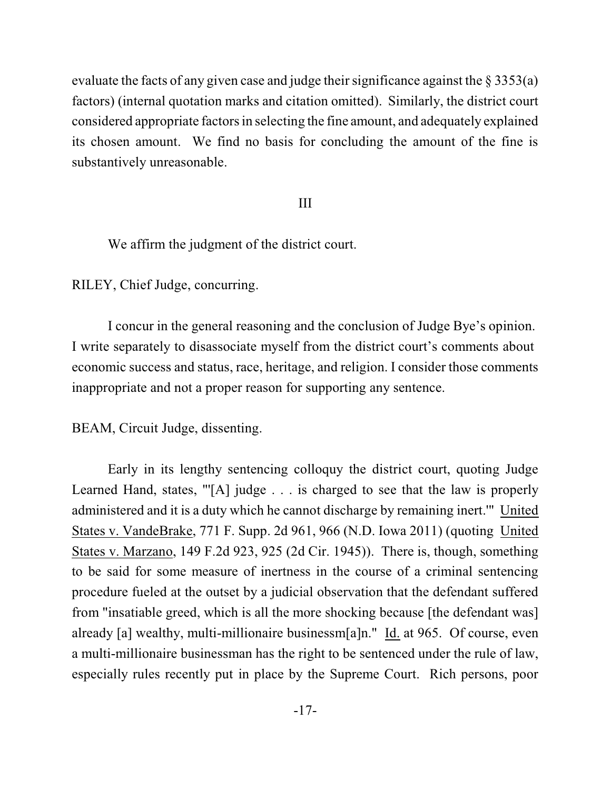evaluate the facts of any given case and judge their significance against the  $\S 3353(a)$ factors) (internal quotation marks and citation omitted). Similarly, the district court considered appropriate factors in selecting the fine amount, and adequately explained its chosen amount. We find no basis for concluding the amount of the fine is substantively unreasonable.

### III

We affirm the judgment of the district court.

RILEY, Chief Judge, concurring.

I concur in the general reasoning and the conclusion of Judge Bye's opinion. I write separately to disassociate myself from the district court's comments about economic success and status, race, heritage, and religion. I consider those comments inappropriate and not a proper reason for supporting any sentence.

BEAM, Circuit Judge, dissenting.

Early in its lengthy sentencing colloquy the district court, quoting Judge Learned Hand, states, "[A] judge . . . is charged to see that the law is properly administered and it is a duty which he cannot discharge by remaining inert.'" United States v. VandeBrake, 771 F. Supp. 2d 961, 966 (N.D. Iowa 2011) (quoting United States v. Marzano, 149 F.2d 923, 925 (2d Cir. 1945)). There is, though, something to be said for some measure of inertness in the course of a criminal sentencing procedure fueled at the outset by a judicial observation that the defendant suffered from "insatiable greed, which is all the more shocking because [the defendant was] already [a] wealthy, multi-millionaire businessm[a]n." Id. at 965. Of course, even a multi-millionaire businessman has the right to be sentenced under the rule of law, especially rules recently put in place by the Supreme Court. Rich persons, poor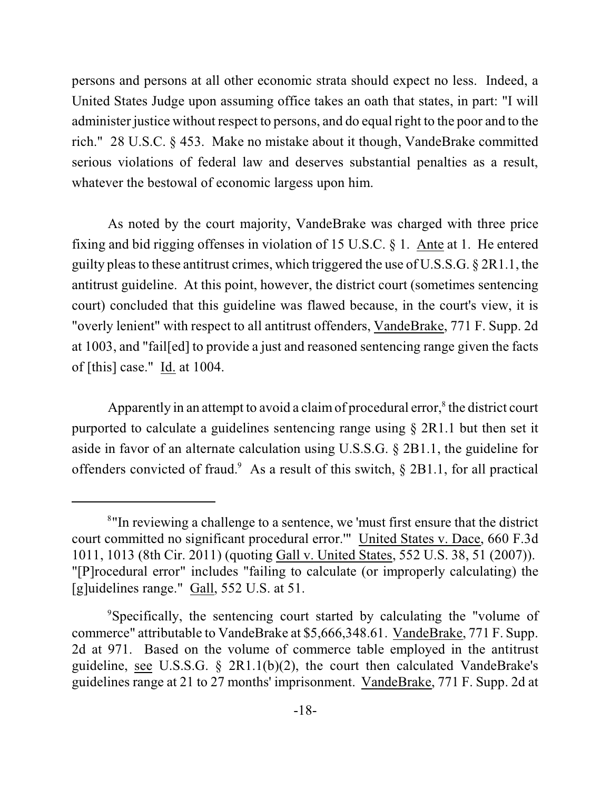persons and persons at all other economic strata should expect no less. Indeed, a United States Judge upon assuming office takes an oath that states, in part: "I will administer justice without respect to persons, and do equal right to the poor and to the rich." 28 U.S.C. § 453. Make no mistake about it though, VandeBrake committed serious violations of federal law and deserves substantial penalties as a result, whatever the bestowal of economic largess upon him.

As noted by the court majority, VandeBrake was charged with three price fixing and bid rigging offenses in violation of 15 U.S.C. § 1. Ante at 1. He entered guilty pleas to these antitrust crimes, which triggered the use of U.S.S.G.  $\S 2R1.1$ , the antitrust guideline. At this point, however, the district court (sometimes sentencing court) concluded that this guideline was flawed because, in the court's view, it is "overly lenient" with respect to all antitrust offenders, VandeBrake, 771 F. Supp. 2d at 1003, and "fail[ed] to provide a just and reasoned sentencing range given the facts of [this] case." Id. at 1004.

Apparently in an attempt to avoid a claim of procedural error, $\delta$  the district court purported to calculate a guidelines sentencing range using § 2R1.1 but then set it aside in favor of an alternate calculation using U.S.S.G. § 2B1.1, the guideline for offenders convicted of fraud.<sup>9</sup> As a result of this switch,  $\S$  2B1.1, for all practical

<sup>&</sup>lt;sup>8</sup>"In reviewing a challenge to a sentence, we 'must first ensure that the district court committed no significant procedural error.'" United States v. Dace, 660 F.3d 1011, 1013 (8th Cir. 2011) (quoting Gall v. United States, 552 U.S. 38, 51 (2007)). "[P]rocedural error" includes "failing to calculate (or improperly calculating) the [g]uidelines range." Gall, 552 U.S. at 51.

<sup>&</sup>lt;sup>9</sup>Specifically, the sentencing court started by calculating the "volume of commerce" attributable to VandeBrake at \$5,666,348.61. VandeBrake, 771 F. Supp. 2d at 971. Based on the volume of commerce table employed in the antitrust guideline, see U.S.S.G. § 2R1.1(b)(2), the court then calculated VandeBrake's guidelines range at 21 to 27 months' imprisonment. VandeBrake, 771 F. Supp. 2d at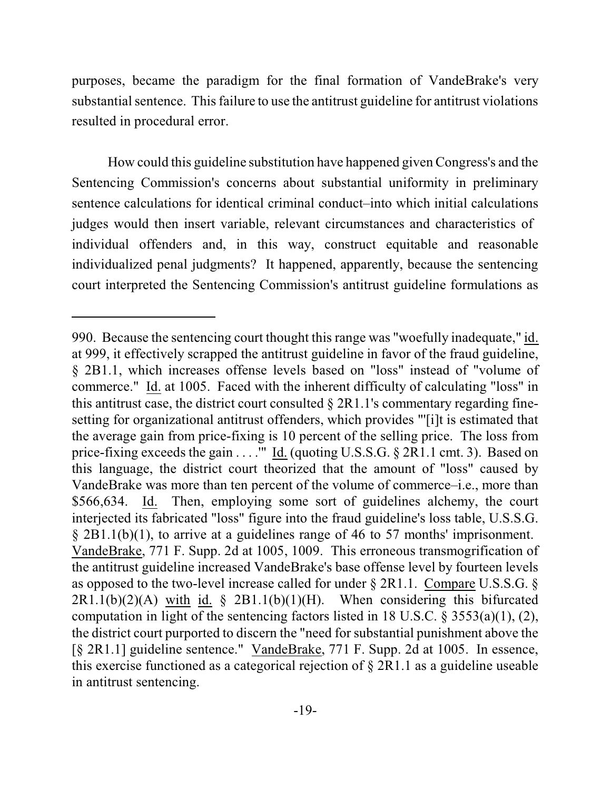purposes, became the paradigm for the final formation of VandeBrake's very substantial sentence. This failure to use the antitrust guideline for antitrust violations resulted in procedural error.

How could this guideline substitution have happened given Congress's and the Sentencing Commission's concerns about substantial uniformity in preliminary sentence calculations for identical criminal conduct–into which initial calculations judges would then insert variable, relevant circumstances and characteristics of individual offenders and, in this way, construct equitable and reasonable individualized penal judgments? It happened, apparently, because the sentencing court interpreted the Sentencing Commission's antitrust guideline formulations as

<sup>990.</sup> Because the sentencing court thought this range was "woefully inadequate," id. at 999, it effectively scrapped the antitrust guideline in favor of the fraud guideline, § 2B1.1, which increases offense levels based on "loss" instead of "volume of commerce." Id. at 1005. Faced with the inherent difficulty of calculating "loss" in this antitrust case, the district court consulted  $\S 2R1.1$ 's commentary regarding finesetting for organizational antitrust offenders, which provides "'[i]t is estimated that the average gain from price-fixing is 10 percent of the selling price. The loss from price-fixing exceeds the gain . . . . "" Id. (quoting U.S.S.G. § 2R1.1 cmt. 3). Based on this language, the district court theorized that the amount of "loss" caused by VandeBrake was more than ten percent of the volume of commerce–i.e., more than \$566,634. Id. Then, employing some sort of guidelines alchemy, the court interjected its fabricated "loss" figure into the fraud guideline's loss table, U.S.S.G. § 2B1.1(b)(1), to arrive at a guidelines range of 46 to 57 months' imprisonment. VandeBrake, 771 F. Supp. 2d at 1005, 1009. This erroneous transmogrification of the antitrust guideline increased VandeBrake's base offense level by fourteen levels as opposed to the two-level increase called for under § 2R1.1. Compare U.S.S.G. §  $2R1.1(b)(2)(A)$  with id. §  $2B1.1(b)(1)(H)$ . When considering this bifurcated computation in light of the sentencing factors listed in 18 U.S.C. § 3553(a)(1), (2), the district court purported to discern the "need for substantial punishment above the [§ 2R1.1] guideline sentence." VandeBrake, 771 F. Supp. 2d at 1005. In essence, this exercise functioned as a categorical rejection of § 2R1.1 as a guideline useable in antitrust sentencing.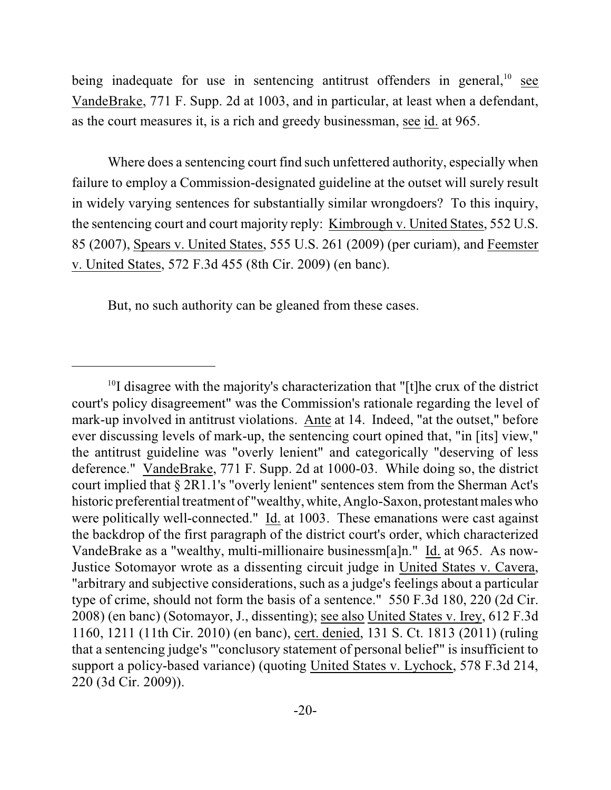being inadequate for use in sentencing antitrust offenders in general,<sup>10</sup> see VandeBrake, 771 F. Supp. 2d at 1003, and in particular, at least when a defendant, as the court measures it, is a rich and greedy businessman, see id. at 965.

Where does a sentencing court find such unfettered authority, especially when failure to employ a Commission-designated guideline at the outset will surely result in widely varying sentences for substantially similar wrongdoers? To this inquiry, the sentencing court and court majority reply: Kimbrough v. United States, 552 U.S. 85 (2007), Spears v. United States, 555 U.S. 261 (2009) (per curiam), and Feemster v. United States, 572 F.3d 455 (8th Cir. 2009) (en banc).

But, no such authority can be gleaned from these cases.

 $10$ I disagree with the majority's characterization that "[t]he crux of the district court's policy disagreement" was the Commission's rationale regarding the level of mark-up involved in antitrust violations. Ante at 14. Indeed, "at the outset," before ever discussing levels of mark-up, the sentencing court opined that, "in [its] view," the antitrust guideline was "overly lenient" and categorically "deserving of less deference." VandeBrake, 771 F. Supp. 2d at 1000-03. While doing so, the district court implied that § 2R1.1's "overly lenient" sentences stem from the Sherman Act's historic preferential treatment of "wealthy, white, Anglo-Saxon, protestant maleswho were politically well-connected." Id. at 1003. These emanations were cast against the backdrop of the first paragraph of the district court's order, which characterized VandeBrake as a "wealthy, multi-millionaire businessm[a]n." Id. at 965. As now-Justice Sotomayor wrote as a dissenting circuit judge in United States v. Cavera, "arbitrary and subjective considerations, such as a judge's feelings about a particular type of crime, should not form the basis of a sentence." 550 F.3d 180, 220 (2d Cir. 2008) (en banc) (Sotomayor, J., dissenting); see also United States v. Irey, 612 F.3d 1160, 1211 (11th Cir. 2010) (en banc), cert. denied, 131 S. Ct. 1813 (2011) (ruling that a sentencing judge's "'conclusory statement of personal belief'" is insufficient to support a policy-based variance) (quoting United States v. Lychock, 578 F.3d 214, 220 (3d Cir. 2009)).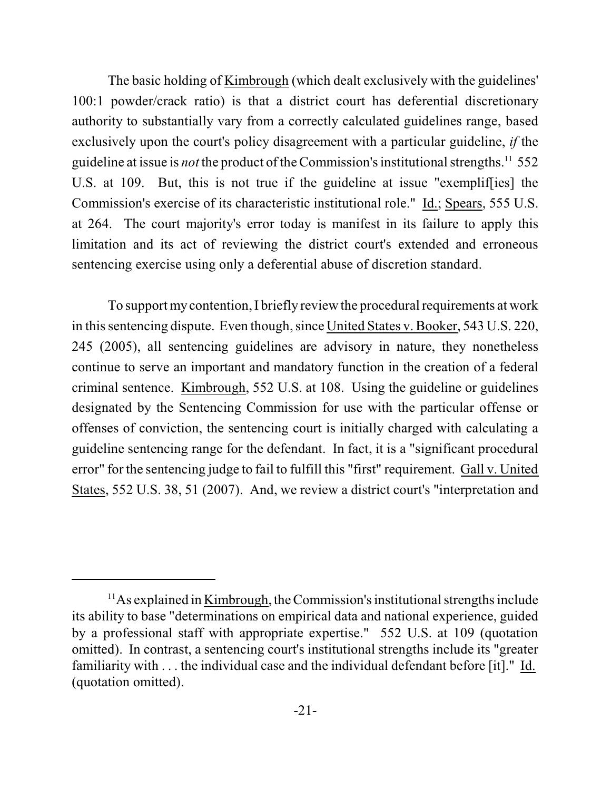The basic holding of Kimbrough (which dealt exclusively with the guidelines' 100:1 powder/crack ratio) is that a district court has deferential discretionary authority to substantially vary from a correctly calculated guidelines range, based exclusively upon the court's policy disagreement with a particular guideline, *if* the guideline at issue is *not* the product of the Commission's institutional strengths.<sup>11</sup> 552 U.S. at 109. But, this is not true if the guideline at issue "exemplif[ies] the Commission's exercise of its characteristic institutional role." Id.; Spears, 555 U.S. at 264. The court majority's error today is manifest in its failure to apply this limitation and its act of reviewing the district court's extended and erroneous sentencing exercise using only a deferential abuse of discretion standard.

To support my contention, I briefly review the procedural requirements at work in thissentencing dispute. Even though, since United States v. Booker, 543 U.S. 220, 245 (2005), all sentencing guidelines are advisory in nature, they nonetheless continue to serve an important and mandatory function in the creation of a federal criminal sentence. Kimbrough, 552 U.S. at 108. Using the guideline or guidelines designated by the Sentencing Commission for use with the particular offense or offenses of conviction, the sentencing court is initially charged with calculating a guideline sentencing range for the defendant. In fact, it is a "significant procedural error" for the sentencing judge to fail to fulfill this "first" requirement. Gall v. United States, 552 U.S. 38, 51 (2007). And, we review a district court's "interpretation and

 $11$ As explained in Kimbrough, the Commission's institutional strengths include its ability to base "determinations on empirical data and national experience, guided by a professional staff with appropriate expertise." 552 U.S. at 109 (quotation omitted). In contrast, a sentencing court's institutional strengths include its "greater familiarity with . . . the individual case and the individual defendant before [it]." Id. (quotation omitted).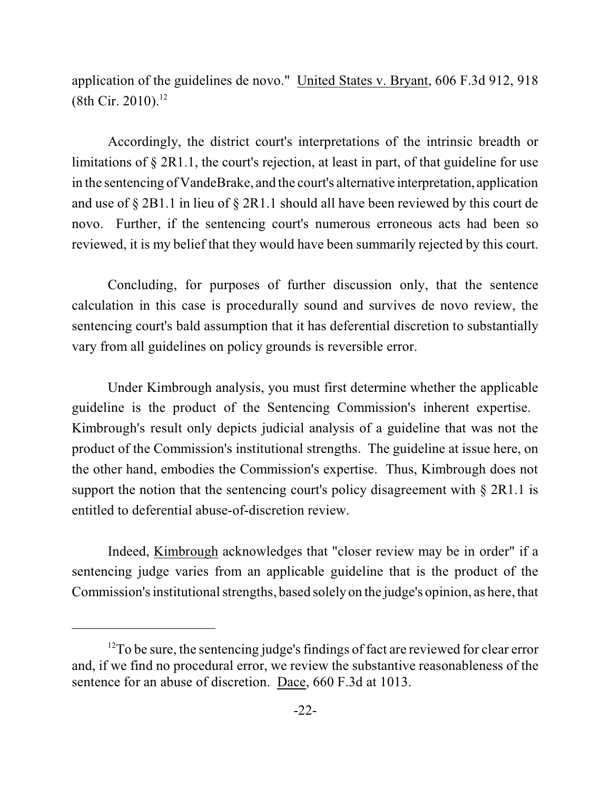application of the guidelines de novo." United States v. Bryant, 606 F.3d 912, 918  $(8th Cir. 2010).$ <sup>12</sup>

Accordingly, the district court's interpretations of the intrinsic breadth or limitations of § 2R1.1, the court's rejection, at least in part, of that guideline for use in the sentencing of VandeBrake, and the court's alternative interpretation, application and use of § 2B1.1 in lieu of § 2R1.1 should all have been reviewed by this court de novo. Further, if the sentencing court's numerous erroneous acts had been so reviewed, it is my belief that they would have been summarily rejected by this court.

Concluding, for purposes of further discussion only, that the sentence calculation in this case is procedurally sound and survives de novo review, the sentencing court's bald assumption that it has deferential discretion to substantially vary from all guidelines on policy grounds is reversible error.

Under Kimbrough analysis, you must first determine whether the applicable guideline is the product of the Sentencing Commission's inherent expertise. Kimbrough's result only depicts judicial analysis of a guideline that was not the product of the Commission's institutional strengths. The guideline at issue here, on the other hand, embodies the Commission's expertise. Thus, Kimbrough does not support the notion that the sentencing court's policy disagreement with § 2R1.1 is entitled to deferential abuse-of-discretion review.

Indeed, Kimbrough acknowledges that "closer review may be in order" if a sentencing judge varies from an applicable guideline that is the product of the Commission's institutional strengths, based solely on the judge's opinion, as here, that

 $12$ To be sure, the sentencing judge's findings of fact are reviewed for clear error and, if we find no procedural error, we review the substantive reasonableness of the sentence for an abuse of discretion. Dace, 660 F.3d at 1013.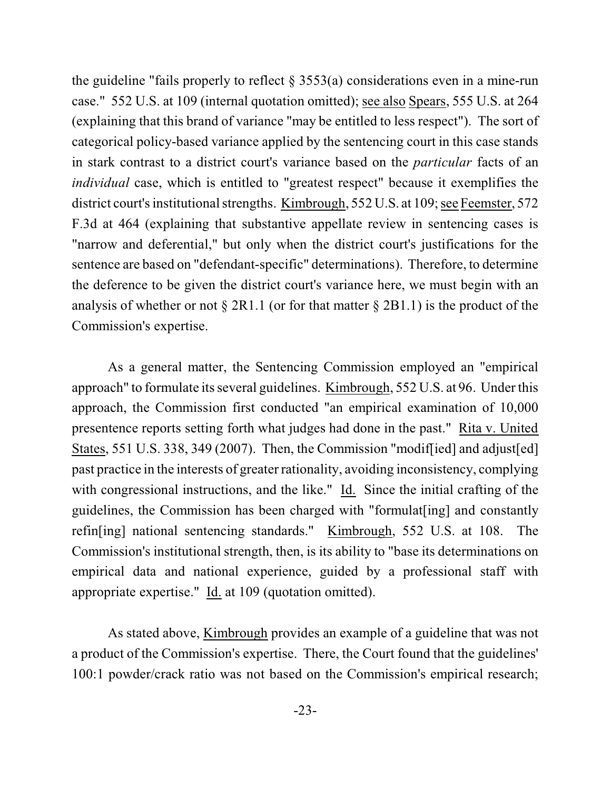the guideline "fails properly to reflect  $\S$  3553(a) considerations even in a mine-run case." 552 U.S. at 109 (internal quotation omitted); see also Spears, 555 U.S. at 264 (explaining that this brand of variance "may be entitled to less respect"). The sort of categorical policy-based variance applied by the sentencing court in this case stands in stark contrast to a district court's variance based on the *particular* facts of an *individual* case, which is entitled to "greatest respect" because it exemplifies the district court's institutional strengths. Kimbrough, 552 U.S. at 109; see Feemster, 572 F.3d at 464 (explaining that substantive appellate review in sentencing cases is "narrow and deferential," but only when the district court's justifications for the sentence are based on "defendant-specific" determinations). Therefore, to determine the deference to be given the district court's variance here, we must begin with an analysis of whether or not  $\S 2R1.1$  (or for that matter  $\S 2B1.1$ ) is the product of the Commission's expertise.

As a general matter, the Sentencing Commission employed an "empirical approach" to formulate its several guidelines. Kimbrough, 552 U.S. at 96. Under this approach, the Commission first conducted "an empirical examination of 10,000 presentence reports setting forth what judges had done in the past." Rita v. United States, 551 U.S. 338, 349 (2007). Then, the Commission "modif[ied] and adjust[ed] past practice in the interests of greater rationality, avoiding inconsistency, complying with congressional instructions, and the like." Id. Since the initial crafting of the guidelines, the Commission has been charged with "formulat[ing] and constantly refin[ing] national sentencing standards." Kimbrough, 552 U.S. at 108. The Commission's institutional strength, then, is its ability to "base its determinations on empirical data and national experience, guided by a professional staff with appropriate expertise." Id. at 109 (quotation omitted).

As stated above, Kimbrough provides an example of a guideline that was not a product of the Commission's expertise. There, the Court found that the guidelines' 100:1 powder/crack ratio was not based on the Commission's empirical research;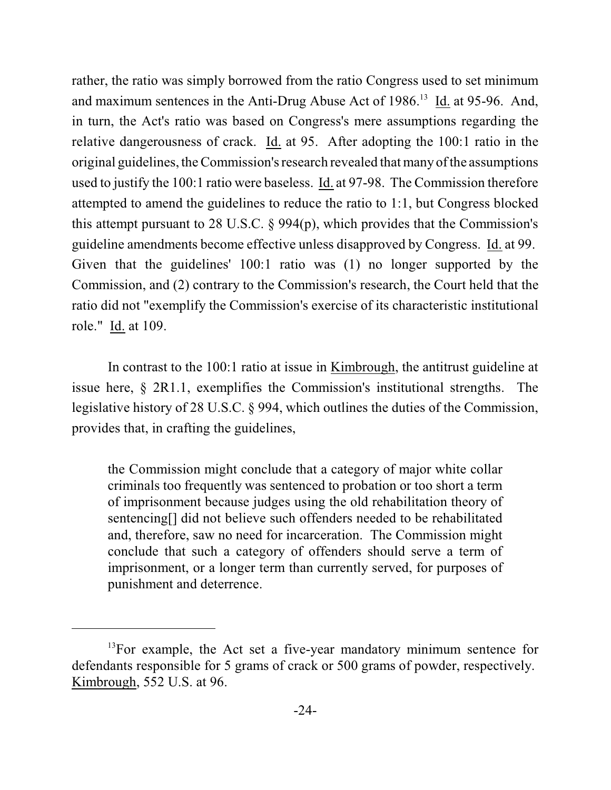rather, the ratio was simply borrowed from the ratio Congress used to set minimum and maximum sentences in the Anti-Drug Abuse Act of  $1986$ <sup>13</sup> Id. at 95-96. And, in turn, the Act's ratio was based on Congress's mere assumptions regarding the relative dangerousness of crack. Id. at 95. After adopting the 100:1 ratio in the original guidelines, the Commission's research revealed thatmany ofthe assumptions used to justify the 100:1 ratio were baseless. Id. at 97-98. The Commission therefore attempted to amend the guidelines to reduce the ratio to 1:1, but Congress blocked this attempt pursuant to 28 U.S.C. § 994(p), which provides that the Commission's guideline amendments become effective unless disapproved by Congress. Id. at 99. Given that the guidelines' 100:1 ratio was (1) no longer supported by the Commission, and (2) contrary to the Commission's research, the Court held that the ratio did not "exemplify the Commission's exercise of its characteristic institutional role." Id. at 109.

In contrast to the 100:1 ratio at issue in Kimbrough, the antitrust guideline at issue here, § 2R1.1, exemplifies the Commission's institutional strengths. The legislative history of 28 U.S.C. § 994, which outlines the duties of the Commission, provides that, in crafting the guidelines,

the Commission might conclude that a category of major white collar criminals too frequently was sentenced to probation or too short a term of imprisonment because judges using the old rehabilitation theory of sentencing[] did not believe such offenders needed to be rehabilitated and, therefore, saw no need for incarceration. The Commission might conclude that such a category of offenders should serve a term of imprisonment, or a longer term than currently served, for purposes of punishment and deterrence.

 $13$ For example, the Act set a five-year mandatory minimum sentence for defendants responsible for 5 grams of crack or 500 grams of powder, respectively. Kimbrough, 552 U.S. at 96.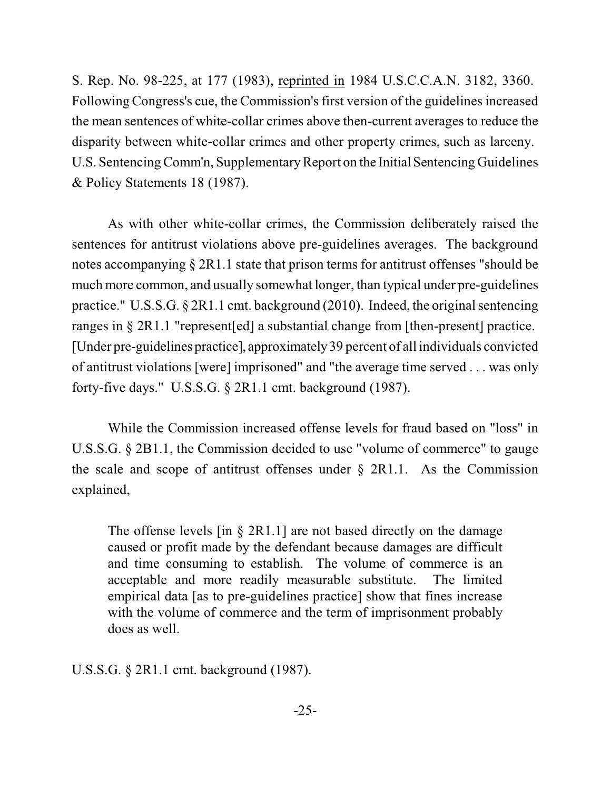S. Rep. No. 98-225, at 177 (1983), reprinted in 1984 U.S.C.C.A.N. 3182, 3360. Following Congress's cue, the Commission's first version of the guidelinesincreased the mean sentences of white-collar crimes above then-current averages to reduce the disparity between white-collar crimes and other property crimes, such as larceny. U.S. Sentencing Comm'n, Supplementary Report on the Initial Sentencing Guidelines & Policy Statements 18 (1987).

As with other white-collar crimes, the Commission deliberately raised the sentences for antitrust violations above pre-guidelines averages. The background notes accompanying § 2R1.1 state that prison terms for antitrust offenses "should be much more common, and usually somewhat longer, than typical under pre-guidelines practice." U.S.S.G. § 2R1.1 cmt. background (2010). Indeed, the original sentencing ranges in § 2R1.1 "represent[ed] a substantial change from [then-present] practice. [Under pre-guidelines practice], approximately 39 percent of all individuals convicted of antitrust violations [were] imprisoned" and "the average time served . . . was only forty-five days." U.S.S.G. § 2R1.1 cmt. background (1987).

While the Commission increased offense levels for fraud based on "loss" in U.S.S.G. § 2B1.1, the Commission decided to use "volume of commerce" to gauge the scale and scope of antitrust offenses under  $\S$  2R1.1. As the Commission explained,

The offense levels  $\left[ \text{in } \S 2R1.1 \right]$  are not based directly on the damage caused or profit made by the defendant because damages are difficult and time consuming to establish. The volume of commerce is an acceptable and more readily measurable substitute. The limited empirical data [as to pre-guidelines practice] show that fines increase with the volume of commerce and the term of imprisonment probably does as well.

U.S.S.G. § 2R1.1 cmt. background (1987).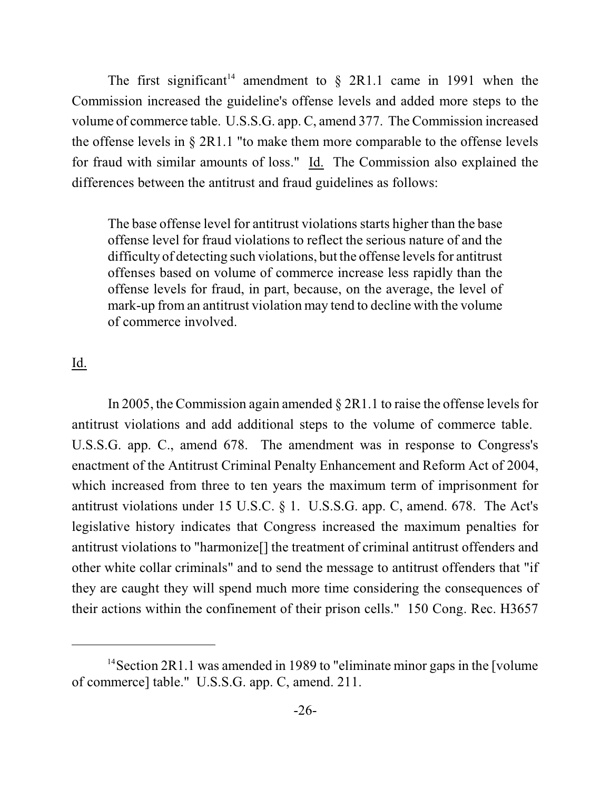The first significant<sup>14</sup> amendment to  $\S$  2R1.1 came in 1991 when the Commission increased the guideline's offense levels and added more steps to the volume of commerce table. U.S.S.G. app. C, amend 377. The Commission increased the offense levels in § 2R1.1 "to make them more comparable to the offense levels for fraud with similar amounts of loss." Id. The Commission also explained the differences between the antitrust and fraud guidelines as follows:

The base offense level for antitrust violations starts higher than the base offense level for fraud violations to reflect the serious nature of and the difficulty of detecting such violations, but the offense levels for antitrust offenses based on volume of commerce increase less rapidly than the offense levels for fraud, in part, because, on the average, the level of mark-up from an antitrust violation may tend to decline with the volume of commerce involved.

## Id.

In 2005, the Commission again amended  $\S 2R1.1$  to raise the offense levels for antitrust violations and add additional steps to the volume of commerce table. U.S.S.G. app. C., amend 678. The amendment was in response to Congress's enactment of the Antitrust Criminal Penalty Enhancement and Reform Act of 2004, which increased from three to ten years the maximum term of imprisonment for antitrust violations under 15 U.S.C. § 1. U.S.S.G. app. C, amend. 678. The Act's legislative history indicates that Congress increased the maximum penalties for antitrust violations to "harmonize[] the treatment of criminal antitrust offenders and other white collar criminals" and to send the message to antitrust offenders that "if they are caught they will spend much more time considering the consequences of their actions within the confinement of their prison cells." 150 Cong. Rec. H3657

 $14$  Section 2R1.1 was amended in 1989 to "eliminate minor gaps in the [volume] of commerce] table." U.S.S.G. app. C, amend. 211.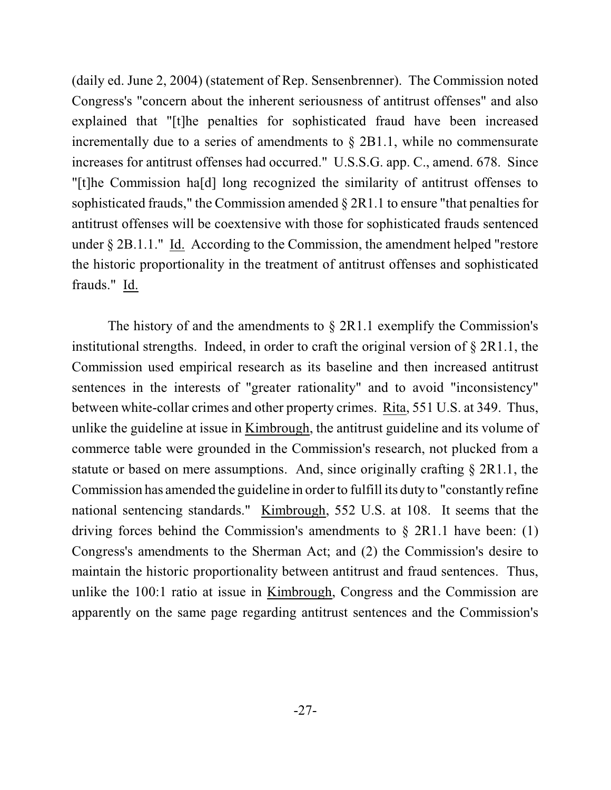(daily ed. June 2, 2004) (statement of Rep. Sensenbrenner). The Commission noted Congress's "concern about the inherent seriousness of antitrust offenses" and also explained that "[t]he penalties for sophisticated fraud have been increased incrementally due to a series of amendments to § 2B1.1, while no commensurate increases for antitrust offenses had occurred." U.S.S.G. app. C., amend. 678. Since "[t]he Commission ha[d] long recognized the similarity of antitrust offenses to sophisticated frauds," the Commission amended § 2R1.1 to ensure "that penalties for antitrust offenses will be coextensive with those for sophisticated frauds sentenced under § 2B.1.1." Id. According to the Commission, the amendment helped "restore the historic proportionality in the treatment of antitrust offenses and sophisticated frauds." Id.

The history of and the amendments to  $\S$  2R1.1 exemplify the Commission's institutional strengths. Indeed, in order to craft the original version of § 2R1.1, the Commission used empirical research as its baseline and then increased antitrust sentences in the interests of "greater rationality" and to avoid "inconsistency" between white-collar crimes and other property crimes. Rita, 551 U.S. at 349. Thus, unlike the guideline at issue in Kimbrough, the antitrust guideline and its volume of commerce table were grounded in the Commission's research, not plucked from a statute or based on mere assumptions. And, since originally crafting § 2R1.1, the Commission has amended the guideline in order to fulfill its duty to "constantly refine national sentencing standards." Kimbrough, 552 U.S. at 108. It seems that the driving forces behind the Commission's amendments to  $\S$  2R1.1 have been: (1) Congress's amendments to the Sherman Act; and (2) the Commission's desire to maintain the historic proportionality between antitrust and fraud sentences. Thus, unlike the 100:1 ratio at issue in Kimbrough, Congress and the Commission are apparently on the same page regarding antitrust sentences and the Commission's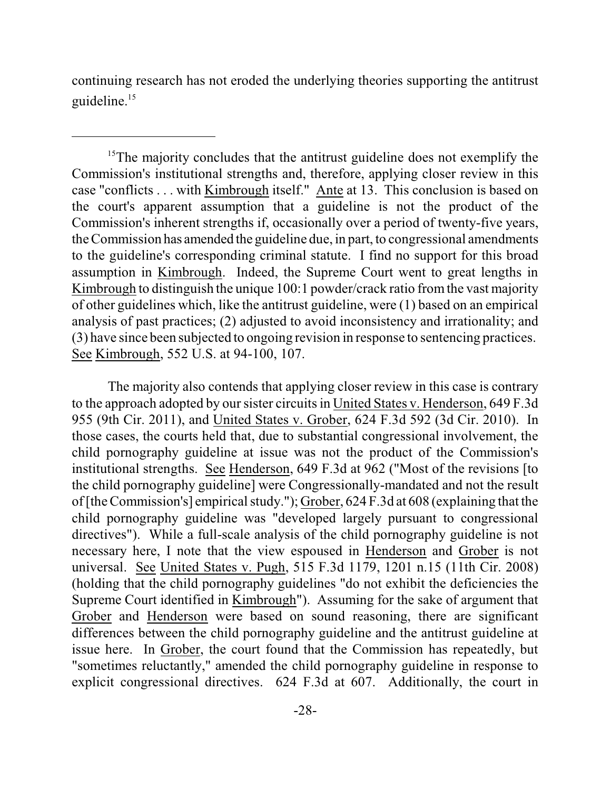continuing research has not eroded the underlying theories supporting the antitrust guideline.<sup>15</sup>

 $15$ The majority concludes that the antitrust guideline does not exemplify the Commission's institutional strengths and, therefore, applying closer review in this case "conflicts . . . with Kimbrough itself." Ante at 13. This conclusion is based on the court's apparent assumption that a guideline is not the product of the Commission's inherent strengths if, occasionally over a period of twenty-five years, the Commission has amended the guideline due, in part, to congressional amendments to the guideline's corresponding criminal statute. I find no support for this broad assumption in Kimbrough. Indeed, the Supreme Court went to great lengths in Kimbrough to distinguish the unique 100:1 powder/crack ratio fromthe vast majority of other guidelines which, like the antitrust guideline, were (1) based on an empirical analysis of past practices; (2) adjusted to avoid inconsistency and irrationality; and (3) have since been subjected to ongoing revision in response to sentencing practices. See Kimbrough, 552 U.S. at 94-100, 107.

The majority also contends that applying closer review in this case is contrary to the approach adopted by our sister circuits in United States v. Henderson, 649 F.3d 955 (9th Cir. 2011), and United States v. Grober, 624 F.3d 592 (3d Cir. 2010). In those cases, the courts held that, due to substantial congressional involvement, the child pornography guideline at issue was not the product of the Commission's institutional strengths. See Henderson, 649 F.3d at 962 ("Most of the revisions [to the child pornography guideline] were Congressionally-mandated and not the result of[the Commission's] empiricalstudy."); Grober, 624 F.3d at 608 (explaining that the child pornography guideline was "developed largely pursuant to congressional directives"). While a full-scale analysis of the child pornography guideline is not necessary here, I note that the view espoused in Henderson and Grober is not universal. See United States v. Pugh, 515 F.3d 1179, 1201 n.15 (11th Cir. 2008) (holding that the child pornography guidelines "do not exhibit the deficiencies the Supreme Court identified in Kimbrough"). Assuming for the sake of argument that Grober and Henderson were based on sound reasoning, there are significant differences between the child pornography guideline and the antitrust guideline at issue here. In Grober, the court found that the Commission has repeatedly, but "sometimes reluctantly," amended the child pornography guideline in response to explicit congressional directives. 624 F.3d at 607. Additionally, the court in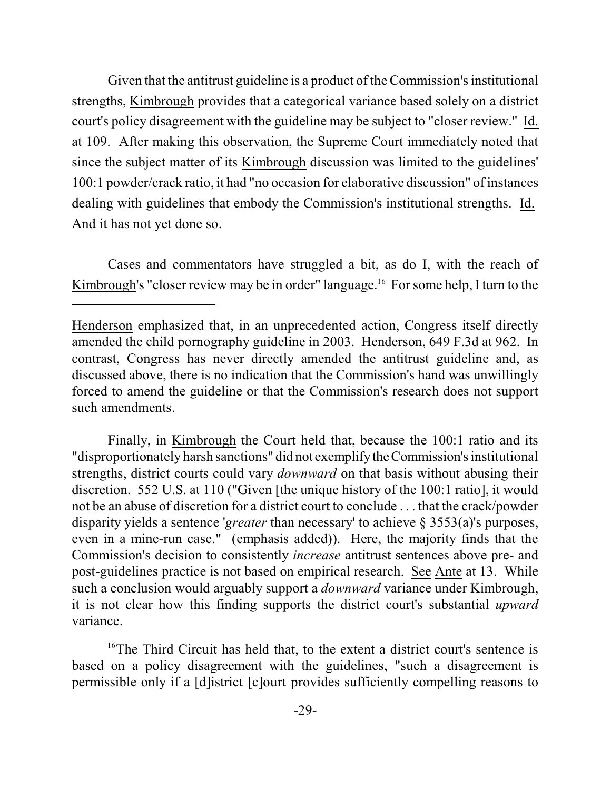Given that the antitrust guideline is a product of the Commission's institutional strengths, Kimbrough provides that a categorical variance based solely on a district court's policy disagreement with the guideline may be subject to "closer review." Id. at 109. After making this observation, the Supreme Court immediately noted that since the subject matter of its Kimbrough discussion was limited to the guidelines' 100:1 powder/crack ratio, it had "no occasion for elaborative discussion" ofinstances dealing with guidelines that embody the Commission's institutional strengths. Id. And it has not yet done so.

Cases and commentators have struggled a bit, as do I, with the reach of Kimbrough's "closer review may be in order" language.<sup>16</sup> For some help, I turn to the

Finally, in Kimbrough the Court held that, because the 100:1 ratio and its "disproportionately harsh sanctions" did not exemplifytheCommission's institutional strengths, district courts could vary *downward* on that basis without abusing their discretion. 552 U.S. at 110 ("Given [the unique history of the 100:1 ratio], it would not be an abuse of discretion for a district court to conclude . . . that the crack/powder disparity yields a sentence '*greater* than necessary' to achieve § 3553(a)'s purposes, even in a mine-run case." (emphasis added)). Here, the majority finds that the Commission's decision to consistently *increase* antitrust sentences above pre- and post-guidelines practice is not based on empirical research. See Ante at 13. While such a conclusion would arguably support a *downward* variance under Kimbrough, it is not clear how this finding supports the district court's substantial *upward* variance.

 $16$ <sup>16</sup>The Third Circuit has held that, to the extent a district court's sentence is based on a policy disagreement with the guidelines, "such a disagreement is permissible only if a [d]istrict [c]ourt provides sufficiently compelling reasons to

Henderson emphasized that, in an unprecedented action, Congress itself directly amended the child pornography guideline in 2003. Henderson, 649 F.3d at 962. In contrast, Congress has never directly amended the antitrust guideline and, as discussed above, there is no indication that the Commission's hand was unwillingly forced to amend the guideline or that the Commission's research does not support such amendments.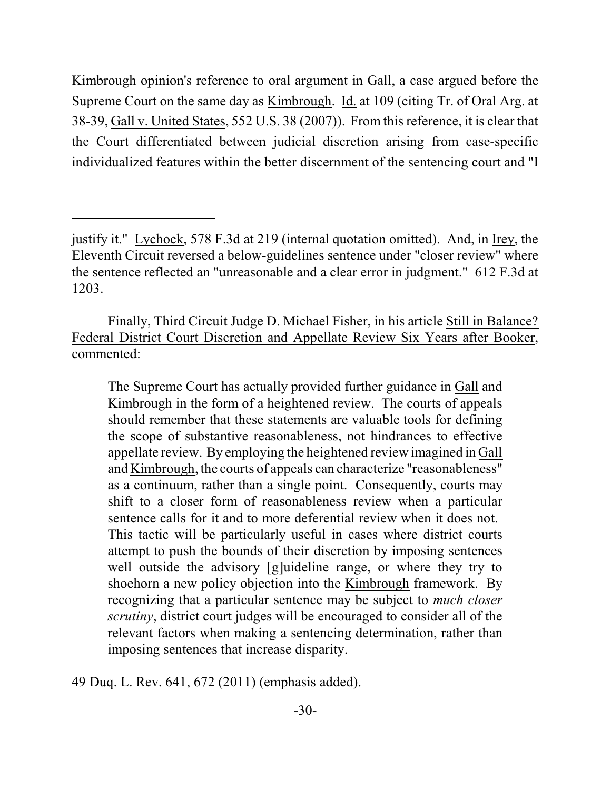Kimbrough opinion's reference to oral argument in Gall, a case argued before the Supreme Court on the same day as Kimbrough. Id. at 109 (citing Tr. of Oral Arg. at 38-39, Gall v. United States, 552 U.S. 38 (2007)). From this reference, it is clear that the Court differentiated between judicial discretion arising from case-specific individualized features within the better discernment of the sentencing court and "I

Finally, Third Circuit Judge D. Michael Fisher, in his article Still in Balance? Federal District Court Discretion and Appellate Review Six Years after Booker, commented:

The Supreme Court has actually provided further guidance in Gall and Kimbrough in the form of a heightened review. The courts of appeals should remember that these statements are valuable tools for defining the scope of substantive reasonableness, not hindrances to effective appellate review. By employing the heightened review imagined in Gall and Kimbrough, the courts of appeals can characterize "reasonableness" as a continuum, rather than a single point. Consequently, courts may shift to a closer form of reasonableness review when a particular sentence calls for it and to more deferential review when it does not. This tactic will be particularly useful in cases where district courts attempt to push the bounds of their discretion by imposing sentences well outside the advisory [g]uideline range, or where they try to shoehorn a new policy objection into the Kimbrough framework. By recognizing that a particular sentence may be subject to *much closer scrutiny*, district court judges will be encouraged to consider all of the relevant factors when making a sentencing determination, rather than imposing sentences that increase disparity.

49 Duq. L. Rev. 641, 672 (2011) (emphasis added).

justify it." Lychock, 578 F.3d at 219 (internal quotation omitted). And, in Irey, the Eleventh Circuit reversed a below-guidelines sentence under "closer review" where the sentence reflected an "unreasonable and a clear error in judgment." 612 F.3d at 1203.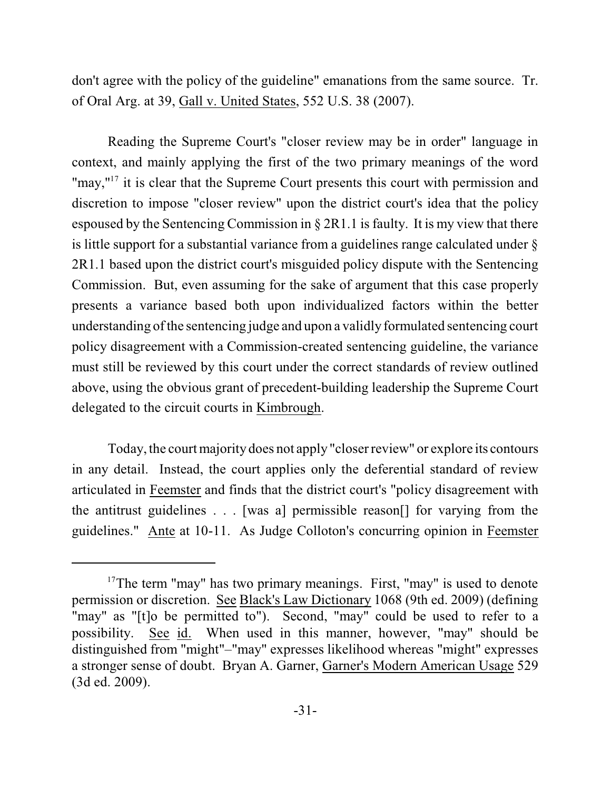don't agree with the policy of the guideline" emanations from the same source. Tr. of Oral Arg. at 39, Gall v. United States, 552 U.S. 38 (2007).

Reading the Supreme Court's "closer review may be in order" language in context, and mainly applying the first of the two primary meanings of the word "may, $"17$  it is clear that the Supreme Court presents this court with permission and discretion to impose "closer review" upon the district court's idea that the policy espoused by the Sentencing Commission in § 2R1.1 is faulty. It is my view that there is little support for a substantial variance from a guidelines range calculated under § 2R1.1 based upon the district court's misguided policy dispute with the Sentencing Commission. But, even assuming for the sake of argument that this case properly presents a variance based both upon individualized factors within the better understanding ofthe sentencing judge and upon a validly formulated sentencing court policy disagreement with a Commission-created sentencing guideline, the variance must still be reviewed by this court under the correct standards of review outlined above, using the obvious grant of precedent-building leadership the Supreme Court delegated to the circuit courts in Kimbrough.

Today, the court majority does not apply "closer review" or explore its contours in any detail. Instead, the court applies only the deferential standard of review articulated in Feemster and finds that the district court's "policy disagreement with the antitrust guidelines . . . [was a] permissible reason[] for varying from the guidelines." Ante at 10-11. As Judge Colloton's concurring opinion in Feemster

 $17$ The term "may" has two primary meanings. First, "may" is used to denote permission or discretion. See Black's Law Dictionary 1068 (9th ed. 2009) (defining "may" as "[t]o be permitted to"). Second, "may" could be used to refer to a possibility. See id. When used in this manner, however, "may" should be distinguished from "might"–"may" expresses likelihood whereas "might" expresses a stronger sense of doubt. Bryan A. Garner, Garner's Modern American Usage 529 (3d ed. 2009).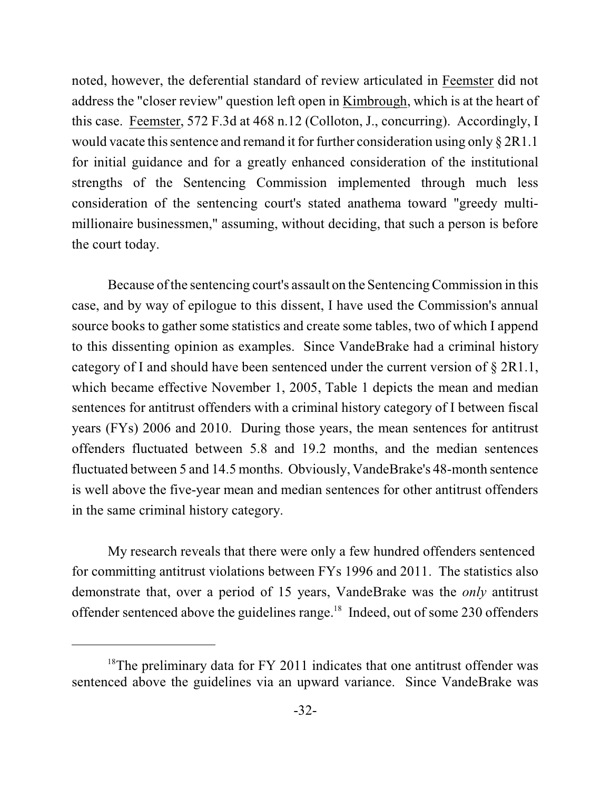noted, however, the deferential standard of review articulated in Feemster did not address the "closer review" question left open in Kimbrough, which is at the heart of this case. Feemster, 572 F.3d at 468 n.12 (Colloton, J., concurring). Accordingly, I would vacate this sentence and remand it for further consideration using only  $\S 2R1.1$ for initial guidance and for a greatly enhanced consideration of the institutional strengths of the Sentencing Commission implemented through much less consideration of the sentencing court's stated anathema toward "greedy multimillionaire businessmen," assuming, without deciding, that such a person is before the court today.

Because ofthe sentencing court's assault on the Sentencing Commission in this case, and by way of epilogue to this dissent, I have used the Commission's annual source books to gather some statistics and create some tables, two of which I append to this dissenting opinion as examples. Since VandeBrake had a criminal history category of I and should have been sentenced under the current version of § 2R1.1, which became effective November 1, 2005, Table 1 depicts the mean and median sentences for antitrust offenders with a criminal history category of I between fiscal years (FYs) 2006 and 2010. During those years, the mean sentences for antitrust offenders fluctuated between 5.8 and 19.2 months, and the median sentences fluctuated between 5 and 14.5 months. Obviously, VandeBrake's 48-month sentence is well above the five-year mean and median sentences for other antitrust offenders in the same criminal history category.

My research reveals that there were only a few hundred offenders sentenced for committing antitrust violations between FYs 1996 and 2011. The statistics also demonstrate that, over a period of 15 years, VandeBrake was the *only* antitrust offender sentenced above the guidelines range. $18$  Indeed, out of some 230 offenders

 $18$ <sup>18</sup>The preliminary data for FY 2011 indicates that one antitrust offender was sentenced above the guidelines via an upward variance. Since VandeBrake was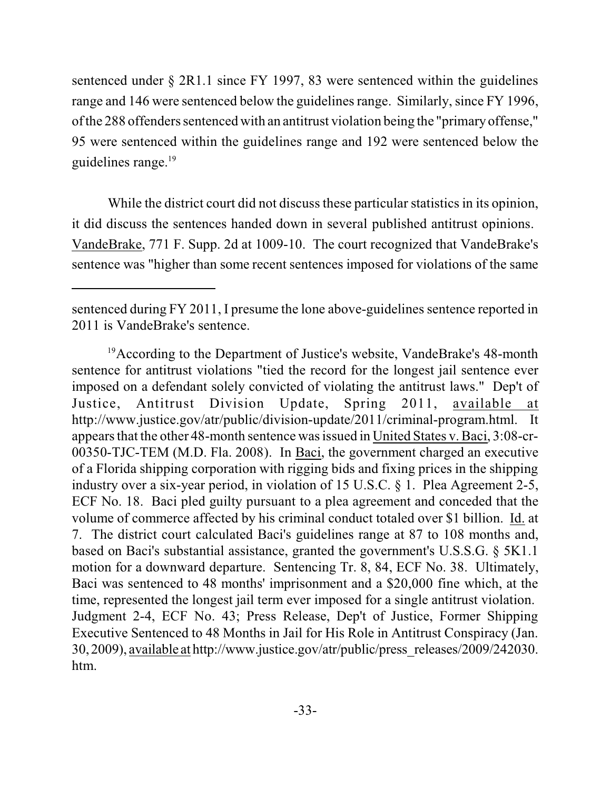sentenced under § 2R1.1 since FY 1997, 83 were sentenced within the guidelines range and 146 were sentenced below the guidelines range. Similarly, since FY 1996, of the 288 offenders sentenced with an antitrust violation being the "primary offense," 95 were sentenced within the guidelines range and 192 were sentenced below the guidelines range.<sup>19</sup>

While the district court did not discuss these particular statistics in its opinion, it did discuss the sentences handed down in several published antitrust opinions. VandeBrake, 771 F. Supp. 2d at 1009-10. The court recognized that VandeBrake's sentence was "higher than some recent sentences imposed for violations of the same

sentenced during FY 2011, I presume the lone above-guidelines sentence reported in 2011 is VandeBrake's sentence.

<sup>&</sup>lt;sup>19</sup> According to the Department of Justice's website, VandeBrake's 48-month sentence for antitrust violations "tied the record for the longest jail sentence ever imposed on a defendant solely convicted of violating the antitrust laws." Dep't of Justice, Antitrust Division Update, Spring 2011, available at http://www.justice.gov/atr/public/division-update/2011/criminal-program.html. It appearsthat the other 48-month sentence wasissued in United States v. Baci, 3:08-cr-00350-TJC-TEM (M.D. Fla. 2008). In Baci, the government charged an executive of a Florida shipping corporation with rigging bids and fixing prices in the shipping industry over a six-year period, in violation of 15 U.S.C. § 1. Plea Agreement 2-5, ECF No. 18. Baci pled guilty pursuant to a plea agreement and conceded that the volume of commerce affected by his criminal conduct totaled over \$1 billion. Id. at 7. The district court calculated Baci's guidelines range at 87 to 108 months and, based on Baci's substantial assistance, granted the government's U.S.S.G. § 5K1.1 motion for a downward departure. Sentencing Tr. 8, 84, ECF No. 38. Ultimately, Baci was sentenced to 48 months' imprisonment and a \$20,000 fine which, at the time, represented the longest jail term ever imposed for a single antitrust violation. Judgment 2-4, ECF No. 43; Press Release, Dep't of Justice, Former Shipping Executive Sentenced to 48 Months in Jail for His Role in Antitrust Conspiracy (Jan. 30, 2009), available at http://www.justice.gov/atr/public/press\_releases/2009/242030. htm.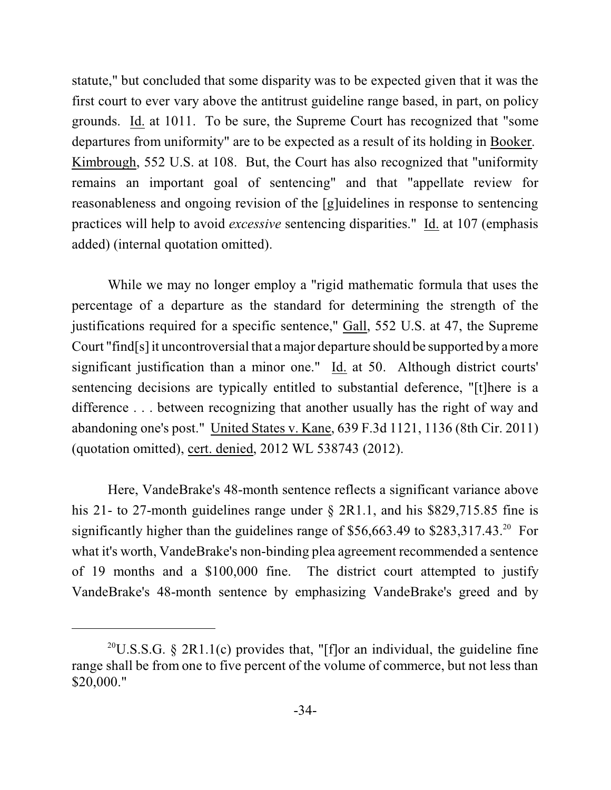statute," but concluded that some disparity was to be expected given that it was the first court to ever vary above the antitrust guideline range based, in part, on policy grounds. Id. at 1011. To be sure, the Supreme Court has recognized that "some departures from uniformity" are to be expected as a result of its holding in Booker. Kimbrough, 552 U.S. at 108. But, the Court has also recognized that "uniformity remains an important goal of sentencing" and that "appellate review for reasonableness and ongoing revision of the [g]uidelines in response to sentencing practices will help to avoid *excessive* sentencing disparities." Id. at 107 (emphasis added) (internal quotation omitted).

While we may no longer employ a "rigid mathematic formula that uses the percentage of a departure as the standard for determining the strength of the justifications required for a specific sentence," Gall, 552 U.S. at 47, the Supreme Court "find[s] it uncontroversial that a major departure should be supported by a more significant justification than a minor one." Id. at 50. Although district courts' sentencing decisions are typically entitled to substantial deference, "[t]here is a difference . . . between recognizing that another usually has the right of way and abandoning one's post." United States v. Kane, 639 F.3d 1121, 1136 (8th Cir. 2011) (quotation omitted), cert. denied, 2012 WL 538743 (2012).

Here, VandeBrake's 48-month sentence reflects a significant variance above his 21- to 27-month guidelines range under § 2R1.1, and his \$829,715.85 fine is significantly higher than the guidelines range of  $$56,663.49$  to  $$283,317.43$ <sup>20</sup> For what it's worth, VandeBrake's non-binding plea agreement recommended a sentence of 19 months and a \$100,000 fine. The district court attempted to justify VandeBrake's 48-month sentence by emphasizing VandeBrake's greed and by

<sup>&</sup>lt;sup>20</sup>U.S.S.G. § 2R1.1(c) provides that, "[f]or an individual, the guideline fine range shall be from one to five percent of the volume of commerce, but not less than \$20,000."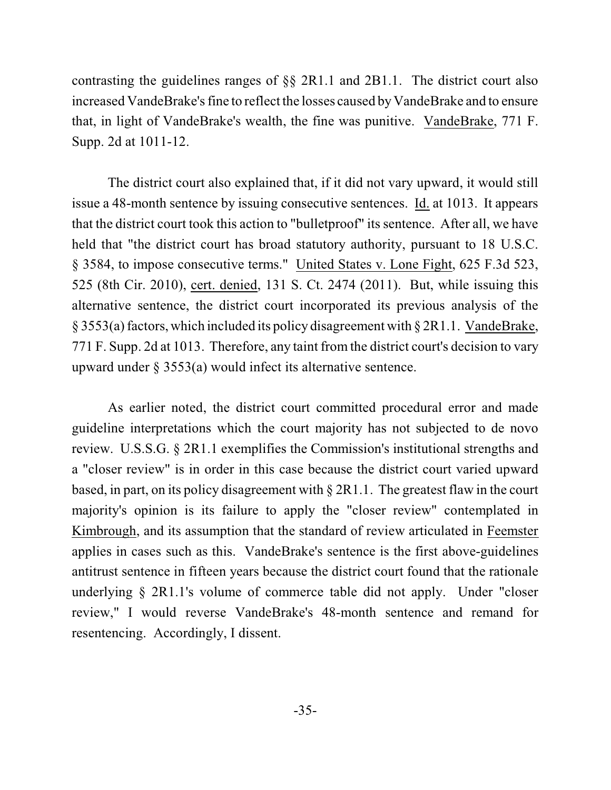contrasting the guidelines ranges of §§ 2R1.1 and 2B1.1. The district court also increased VandeBrake's fine to reflect the losses caused by VandeBrake and to ensure that, in light of VandeBrake's wealth, the fine was punitive. VandeBrake, 771 F. Supp. 2d at 1011-12.

The district court also explained that, if it did not vary upward, it would still issue a 48-month sentence by issuing consecutive sentences. Id. at 1013. It appears that the district court took this action to "bulletproof" its sentence. After all, we have held that "the district court has broad statutory authority, pursuant to 18 U.S.C. § 3584, to impose consecutive terms." United States v. Lone Fight, 625 F.3d 523, 525 (8th Cir. 2010), cert. denied, 131 S. Ct. 2474 (2011). But, while issuing this alternative sentence, the district court incorporated its previous analysis of the § 3553(a) factors, which included its policy disagreement with § 2R1.1. VandeBrake, 771 F. Supp. 2d at 1013. Therefore, any taint from the district court's decision to vary upward under § 3553(a) would infect its alternative sentence.

As earlier noted, the district court committed procedural error and made guideline interpretations which the court majority has not subjected to de novo review. U.S.S.G. § 2R1.1 exemplifies the Commission's institutional strengths and a "closer review" is in order in this case because the district court varied upward based, in part, on its policy disagreement with § 2R1.1. The greatest flaw in the court majority's opinion is its failure to apply the "closer review" contemplated in Kimbrough, and its assumption that the standard of review articulated in Feemster applies in cases such as this. VandeBrake's sentence is the first above-guidelines antitrust sentence in fifteen years because the district court found that the rationale underlying § 2R1.1's volume of commerce table did not apply. Under "closer review," I would reverse VandeBrake's 48-month sentence and remand for resentencing. Accordingly, I dissent.